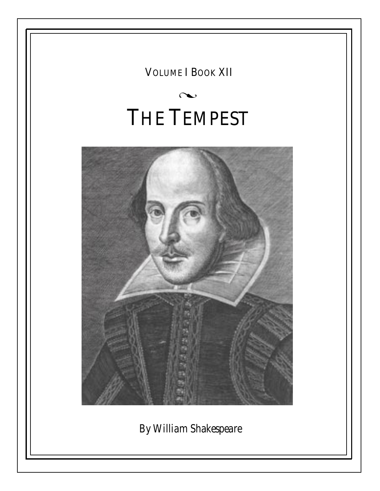VOLUME I BOOK XII

# $\infty$ THE TEMPEST



*By William Shakespeare*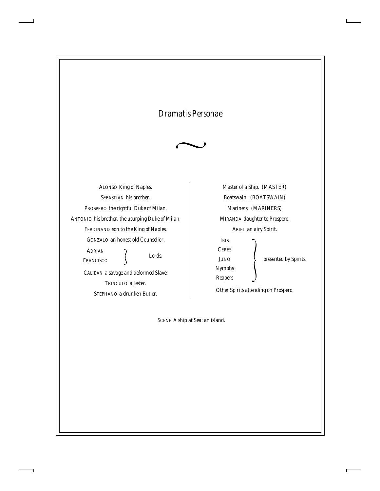# *Dramatis Personae*



ALONSO *King of Naples.* SEBASTIAN *his brother.* PROSPERO *the rightful Duke of Milan.* ANTONIO *his brother, the usurping Duke of Milan.* FERDINAND *son to the King of Naples.* GONZALO *an honest old Counsellor.* CALIBAN *a savage and deformed Slave.* ADRIAN *Lords.* FRANCISCO

TRINCULO *a Jester.* STEPHANO *a drunken Butler.*

*Master of a Ship. (MASTER) Boatswain. (BOATSWAIN) Mariners. (MARINERS)* MIRANDA *daughter to Prospero.* ARIEL *an airy Spirit.*

IRIS *presented by Spirits.* **CERES** JUNO *Nymphs Reapers*

*Other Spirits attending on Prospero.*

SCENE *A ship at Sea: an island.*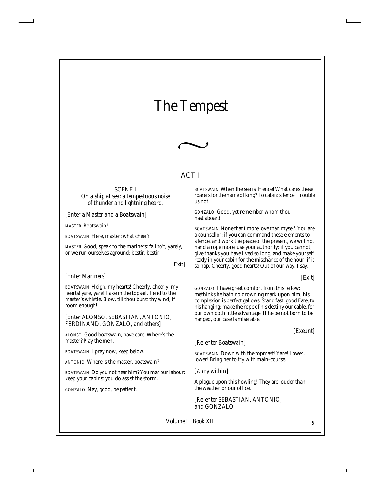# *The Tempest*



# ACT I

#### SCENE I

*On a ship at sea: a tempestuous noise of thunder and lightning heard.*

*[Enter a Master and a Boatswain]*

*MASTER* Boatswain!

*BOATSWAIN* Here, master: what cheer?

*MASTER* Good, speak to the mariners: fall to't, yarely, or we run ourselves aground: bestir, bestir.

*[Exit]*

# *[Enter Mariners]*

*BOATSWAIN* Heigh, my hearts! Cheerly, cheerly, my hearts! yare, yare! Take in the topsail. Tend to the master's whistle. Blow, till thou burst thy wind, if room enough!

*[Enter ALONSO, SEBASTIAN, ANTONIO, FERDINAND, GONZALO, and others]*

*ALONSO* Good boatswain, have care. Where's the master? Play the men.

*BOATSWAIN* I pray now, keep below.

*ANTONIO* Where is the master, boatswain?

*BOATSWAIN* Do you not hear him? You mar our labour: keep your cabins: you do assist the storm.

*GONZALO* Nay, good, be patient.

*BOATSWAIN* When the sea is. Hence! What cares these roarers for the name of king? To cabin: silence! Trouble us not.

*GONZALO* Good, yet remember whom thou hast aboard.

*BOATSWAIN* None that I more love than myself. You are a counsellor; if you can command these elements to silence, and work the peace of the present, we will not hand a rope more; use your authority: if you cannot, give thanks you have lived so long, and make yourself ready in your cabin for the mischance of the hour, if it so hap. Cheerly, good hearts! Out of our way, I say.

*[Exit]*

*GONZALO* I have great comfort from this fellow: methinks he hath no drowning mark upon him; his complexion is perfect gallows. Stand fast, good Fate, to his hanging: make the rope of his destiny our cable, for our own doth little advantage. If he be not born to be hanged, our case is miserable.

*[Exeunt]*

*[Re-enter Boatswain]*

*BOATSWAIN* Down with the topmast! Yare! Lower, lower! Bring her to try with main-course.

*[A cry within]*

A plague upon this howling! They are louder than the weather or our office.

*[Re-enter SEBASTIAN, ANTONIO, and GONZALO]*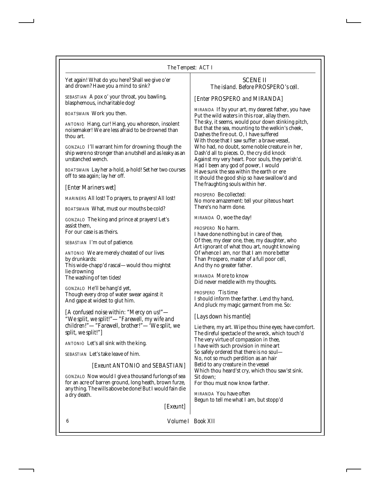Yet again! What do you here? Shall we give o'er and drown? Have you a mind to sink?

*SEBASTIAN* A pox o' your throat, you bawling, blasphemous, incharitable dog!

*BOATSWAIN* Work you then.

*ANTONIO* Hang, cur! Hang, you whoreson, insolent noisemaker! We are less afraid to be drowned than thou art.

*GONZALO* I'll warrant him for drowning; though the ship were no stronger than a nutshell and as leaky as an unstanched wench.

*BOATSWAIN* Lay her a-hold, a-hold! Set her two courses off to sea again; lay her off.

*[Enter Mariners wet]*

*MARINERS* All lost! To prayers, to prayers! All lost!

*BOATSWAIN* What, must our mouths be cold?

*GONZALO* The king and prince at prayers! Let's assist them, For our case is as theirs.

*SEBASTIAN* I'm out of patience.

*ANTONIO* We are merely cheated of our lives by drunkards: This wide-chapp'd rascal—would thou mightst lie drowning The washing of ten tides!

*GONZALO* He'll be hang'd yet, Though every drop of water swear against it And gape at widest to glut him.

*[A confused noise within: "Mercy on us!"— "We split, we split!"—"Farewell, my wife and children!"—"Farewell, brother!"—'We split, we split, we split!"]*

*ANTONIO* Let's all sink with the king.

*SEBASTIAN* Let's take leave of him.

#### *[Exeunt ANTONIO and SEBASTIAN]*

*GONZALO* Now would I give a thousand furlongs of sea for an acre of barren ground, long heath, brown furze, any thing. The wills above be done! But I would fain die a dry death.

*[Exeunt]*

#### SCENE II *The island. Before PROSPERO's cell.*

# *[Enter PROSPERO and MIRANDA]*

*MIRANDA* If by your art, my dearest father, you have Put the wild waters in this roar, allay them. The sky, it seems, would pour down stinking pitch, But that the sea, mounting to the welkin's cheek, Dashes the fire out. O, I have suffered With those that I saw suffer: a brave vessel, Who had, no doubt, some noble creature in her, Dash'd all to pieces. O, the cry did knock Against my very heart. Poor souls, they perish'd. Had I been any god of power, I would Have sunk the sea within the earth or ere It should the good ship so have swallow'd and The fraughting souls within her.

*PROSPERO* Be collected: No more amazement: tell your piteous heart There's no harm done.

*MIRANDA* O, woe the day!

*PROSPERO* No harm.

I have done nothing but in care of thee, Of thee, my dear one, thee, my daughter, who Art ignorant of what thou art, nought knowing Of whence I am, nor that I am more better Than Prospero, master of a full poor cell, And thy no greater father.

*MIRANDA* More to know Did never meddle with my thoughts.

*PROSPERO* 'Tis time I should inform thee farther. Lend thy hand, And pluck my magic garment from me. So:

#### *[Lays down his mantle]*

Lie there, my art. Wipe thou thine eyes; have comfort. The direful spectacle of the wreck, which touch'd The very virtue of compassion in thee, I have with such provision in mine art So safely ordered that there is no soul— No, not so much perdition as an hair Betid to any creature in the vessel Which thou heard'st cry, which thou saw'st sink. Sit down; For thou must now know farther.

*MIRANDA* You have often Begun to tell me what I am, but stopp'd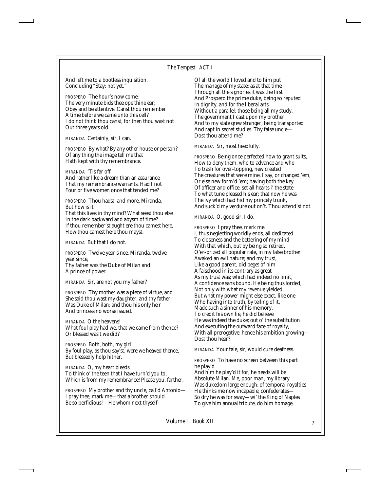| And left me to a bootless inquisition, |  |
|----------------------------------------|--|
| Concluding "Stay: not yet."            |  |

*PROSPERO* The hour's now come; The very minute bids thee ope thine ear; Obey and be attentive. Canst thou remember A time before we came unto this cell? I do not think thou canst, for then thou wast not Out three years old.

*MIRANDA* Certainly, sir, I can.

*PROSPERO* By what? By any other house or person? Of any thing the image tell me that Hath kept with thy remembrance.

*MIRANDA* 'Tis far off And rather like a dream than an assurance That my remembrance warrants. Had I not Four or five women once that tended me?

*PROSPERO* Thou hadst, and more, Miranda. But how is it That this lives in thy mind? What seest thou else In the dark backward and abysm of time? If thou remember'st aught ere thou camest here, How thou camest here thou mayst.

*MIRANDA* But that I do not.

*PROSPERO* Twelve year since, Miranda, twelve year since, Thy father was the Duke of Milan and

A prince of power.

*MIRANDA* Sir, are not you my father?

*PROSPERO* Thy mother was a piece of virtue, and She said thou wast my daughter; and thy father Was Duke of Milan; and thou his only heir And princess no worse issued.

*MIRANDA* O the heavens! What foul play had we, that we came from thence? Or blessed was't we did?

*PROSPERO* Both, both, my girl: By foul play, as thou say'st, were we heaved thence, But blessedly holp hither.

*MIRANDA* O, my heart bleeds To think o' the teen that I have turn'd you to, Which is from my remembrance! Please you, farther.

*PROSPERO* My brother and thy uncle, call'd Antonio— I pray thee, mark me—that a brother should Be so perfidious!—He whom next thyself

Of all the world I loved and to him put The manage of my state; as at that time Through all the signories it was the first And Prospero the prime duke, being so reputed In dignity, and for the liberal arts Without a parallel; those being all my study, The government I cast upon my brother And to my state grew stranger, being transported And rapt in secret studies. Thy false uncle— Dost thou attend me?

*MIRANDA* Sir, most heedfully.

*PROSPERO* Being once perfected how to grant suits, How to deny them, who to advance and who To trash for over-topping, new created The creatures that were mine, I say, or changed 'em, Or else new form'd 'em; having both the key Of officer and office, set all hearts i' the state To what tune pleased his ear; that now he was The ivy which had hid my princely trunk, And suck'd my verdure out on't. Thou attend'st not.

*MIRANDA* O, good sir, I do.

*PROSPERO* I pray thee, mark me. I, thus neglecting worldly ends, all dedicated To closeness and the bettering of my mind With that which, but by being so retired, O'er-prized all popular rate, in my false brother Awaked an evil nature; and my trust, Like a good parent, did beget of him A falsehood in its contrary as great As my trust was; which had indeed no limit, A confidence sans bound. He being thus lorded, Not only with what my revenue yielded, But what my power might else exact, like one Who having into truth, by telling of it, Made such a sinner of his memory, To credit his own lie, he did believe He was indeed the duke; out o' the substitution And executing the outward face of royalty, With all prerogative: hence his ambition growing— Dost thou hear?

*MIRANDA* Your tale, sir, would cure deafness.

*PROSPERO* To have no screen between this part he play'd

And him he play'd it for, he needs will be Absolute Milan. Me, poor man, my library Was dukedom large enough: of temporal royalties He thinks me now incapable; confederates— So dry he was for sway—wi' the King of Naples To give him annual tribute, do him homage,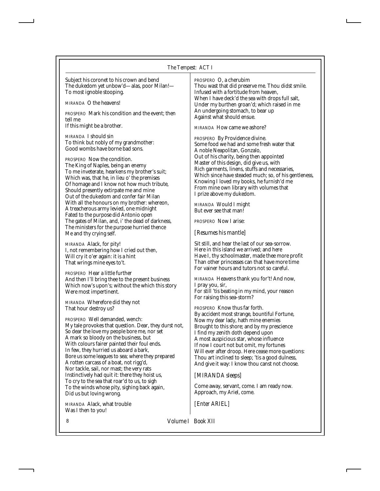Subject his coronet to his crown and bend The dukedom yet unbow'd—alas, poor Milan!— To most ignoble stooping.

*MIRANDA* O the heavens!

*PROSPERO* Mark his condition and the event; then tell me If this might be a brother.

*MIRANDA* I should sin To think but nobly of my grandmother: Good wombs have borne bad sons.

*PROSPERO* Now the condition. The King of Naples, being an enemy To me inveterate, hearkens my brother's suit; Which was, that he, in lieu o' the premises Of homage and I know not how much tribute, Should presently extirpate me and mine Out of the dukedom and confer fair Milan With all the honours on my brother: whereon, A treacherous army levied, one midnight Fated to the purpose did Antonio open The gates of Milan, and, i' the dead of darkness, The ministers for the purpose hurried thence Me and thy crying self.

*MIRANDA* Alack, for pity! I, not remembering how I cried out then, Will cry it o'er again: it is a hint That wrings mine eyes to't.

*PROSPERO* Hear a little further And then I'll bring thee to the present business Which now's upon's; without the which this story Were most impertinent.

*MIRANDA* Wherefore did they not That hour destroy us?

*PROSPERO* Well demanded, wench: My tale provokes that question. Dear, they durst not, So dear the love my people bore me, nor set A mark so bloody on the business, but With colours fairer painted their foul ends. In few, they hurried us aboard a bark, Bore us some leagues to sea; where they prepared A rotten carcass of a boat, not rigg'd, Nor tackle, sail, nor mast; the very rats Instinctively had quit it: there they hoist us, To cry to the sea that roar'd to us, to sigh To the winds whose pity, sighing back again, Did us but loving wrong.

*MIRANDA* Alack, what trouble Was I then to you!

*PROSPERO* O, a cherubim Thou wast that did preserve me. Thou didst smile. Infused with a fortitude from heaven, When I have deck'd the sea with drops full salt, Under my burthen groan'd; which raised in me An undergoing stomach, to bear up Against what should ensue.

*MIRANDA* How came we ashore?

*PROSPERO* By Providence divine. Some food we had and some fresh water that A noble Neapolitan, Gonzalo, Out of his charity, being then appointed Master of this design, did give us, with Rich garments, linens, stuffs and necessaries, Which since have steaded much; so, of his gentleness, Knowing I loved my books, he furnish'd me From mine own library with volumes that I prize above my dukedom.

*MIRANDA* Would I might But ever see that man!

*PROSPERO* Now I arise:

*[Resumes his mantle]*

Sit still, and hear the last of our sea-sorrow. Here in this island we arrived; and here Have I, thy schoolmaster, made thee more profit Than other princesses can that have more time For vainer hours and tutors not so careful.

*MIRANDA* Heavens thank you for't! And now, I pray you, sir, For still 'tis beating in my mind, your reason For raising this sea-storm?

*PROSPERO* Know thus far forth. By accident most strange, bountiful Fortune, Now my dear lady, hath mine enemies Brought to this shore; and by my prescience I find my zenith doth depend upon A most auspicious star, whose influence If now I court not but omit, my fortunes Will ever after droop. Here cease more questions: Thou art inclined to sleep; 'tis a good dulness, And give it way: I know thou canst not choose.

#### *[MIRANDA sleeps]*

Come away, servant, come. I am ready now. Approach, my Ariel, come.

*[Enter ARIEL]*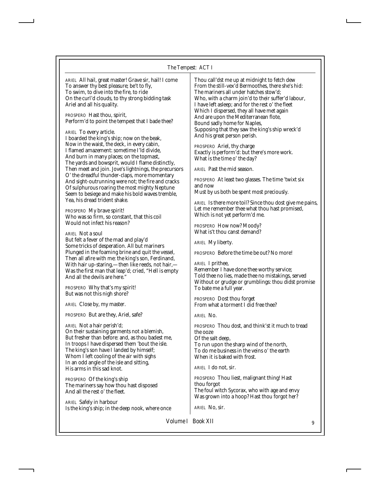# *The Tempest: ACT I*

| ARIEL All hail, great master! Grave sir, hail! I come<br>To answer thy best pleasure; be't to fly,<br>To swim, to dive into the fire, to ride<br>On the curl'd clouds, to thy strong bidding task<br>Ariel and all his quality.<br>PROSPERO Hast thou, spirit,<br>Perform'd to point the tempest that I bade thee?<br><i>ARIEL</i> To every article.<br>I boarded the king's ship; now on the beak, | Thou call'dst me up at midnight to fetch dew<br>From the still-vex'd Bermoothes, there she's hid:<br>The mariners all under hatches stow'd;<br>Who, with a charm join'd to their suffer'd labour,<br>I have left as leep; and for the rest o' the fleet<br>Which I dispersed, they all have met again<br>And are upon the Mediterranean flote,<br>Bound sadly home for Naples,<br>Supposing that they saw the king's ship wreck'd<br>And his great person perish. |
|-----------------------------------------------------------------------------------------------------------------------------------------------------------------------------------------------------------------------------------------------------------------------------------------------------------------------------------------------------------------------------------------------------|-------------------------------------------------------------------------------------------------------------------------------------------------------------------------------------------------------------------------------------------------------------------------------------------------------------------------------------------------------------------------------------------------------------------------------------------------------------------|
| Now in the waist, the deck, in every cabin,<br>I flamed amazement: sometime I'ld divide,<br>And burn in many places; on the topmast,<br>The yards and bowsprit, would I flame distinctly,                                                                                                                                                                                                           | PROSPERO Ariel, thy charge<br>Exactly is perform'd: but there's more work.<br>What is the time o' the day?                                                                                                                                                                                                                                                                                                                                                        |
| Then meet and join. Jove's lightnings, the precursors                                                                                                                                                                                                                                                                                                                                               | <i>ARIEL</i> Past the mid season.                                                                                                                                                                                                                                                                                                                                                                                                                                 |
| O' the dreadful thunder-claps, more momentary<br>And sight-outrunning were not; the fire and cracks<br>Of sulphurous roaring the most mighty Neptune                                                                                                                                                                                                                                                | PROSPERO At least two glasses. The time 'twixt six<br>and now<br>Must by us both be spent most preciously.                                                                                                                                                                                                                                                                                                                                                        |
| Seem to besiege and make his bold waves tremble,<br>Yea, his dread trident shake.                                                                                                                                                                                                                                                                                                                   | ARIEL Is there more toil? Since thou dost give me pains,                                                                                                                                                                                                                                                                                                                                                                                                          |
| <i>PROSPERO</i> My brave spirit!<br>Who was so firm, so constant, that this coil                                                                                                                                                                                                                                                                                                                    | Let me remember thee what thou hast promised,<br>Which is not yet perform'd me.                                                                                                                                                                                                                                                                                                                                                                                   |
| Would not infect his reason?                                                                                                                                                                                                                                                                                                                                                                        | PROSPERO How now? Moody?                                                                                                                                                                                                                                                                                                                                                                                                                                          |
| <b>ARIEL</b> Not a soul<br>But felt a fever of the mad and play'd<br>Some tricks of desperation. All but mariners                                                                                                                                                                                                                                                                                   | What is't thou canst demand?<br><i>ARIEL</i> My liberty.                                                                                                                                                                                                                                                                                                                                                                                                          |
| Plunged in the foaming brine and quit the vessel,                                                                                                                                                                                                                                                                                                                                                   | PROSPERO Before the time be out? No more!                                                                                                                                                                                                                                                                                                                                                                                                                         |
| Then all afire with me: the king's son, Ferdinand,<br>With hair up-staring,-then like reeds, not hair,-<br>Was the first man that leap'd; cried, "Hell is empty<br>And all the devils are here."                                                                                                                                                                                                    | <i>ARIEL</i> I prithee,<br>Remember I have done thee worthy service;<br>Told thee no lies, made thee no mistakings, served<br>Without or grudge or grumblings: thou didst promise                                                                                                                                                                                                                                                                                 |
| PROSPERO Why that's my spirit!<br>But was not this nigh shore?                                                                                                                                                                                                                                                                                                                                      | To bate me a full year.                                                                                                                                                                                                                                                                                                                                                                                                                                           |
| ARIEL Close by, my master.                                                                                                                                                                                                                                                                                                                                                                          | <b>PROSPERO</b> Dost thou forget<br>From what a torment I did free thee?                                                                                                                                                                                                                                                                                                                                                                                          |
| PROSPERO But are they, Ariel, safe?                                                                                                                                                                                                                                                                                                                                                                 | <i>ARIEL</i> No.                                                                                                                                                                                                                                                                                                                                                                                                                                                  |
| <i>ARIEL</i> Not a hair perish'd;<br>On their sustaining garments not a blemish,<br>But fresher than before: and, as thou badest me,<br>In troops I have dispersed them 'bout the isle.<br>The king's son have I landed by himself;<br>Whom I left cooling of the air with sighs<br>In an odd angle of the isle and sitting,                                                                        | PROSPERO Thou dost, and think'st it much to tread<br>the ooze<br>Of the salt deep,<br>To run upon the sharp wind of the north,<br>To do me business in the veins o' the earth<br>When it is baked with frost.                                                                                                                                                                                                                                                     |
| His arms in this sad knot.                                                                                                                                                                                                                                                                                                                                                                          | <i>ARIEL</i> I do not, sir.                                                                                                                                                                                                                                                                                                                                                                                                                                       |
| <i>PROSPERO</i> Of the king's ship<br>The mariners say how thou hast disposed<br>And all the rest o' the fleet.                                                                                                                                                                                                                                                                                     | PROSPERO Thou liest, malignant thing! Hast<br>thou forgot<br>The foul witch Sycorax, who with age and envy<br>Was grown into a hoop? Hast thou forgot her?                                                                                                                                                                                                                                                                                                        |
| <b>ARIEL</b> Safely in harbour<br>Is the king's ship; in the deep nook, where once                                                                                                                                                                                                                                                                                                                  | ARIEL No, sir.                                                                                                                                                                                                                                                                                                                                                                                                                                                    |
|                                                                                                                                                                                                                                                                                                                                                                                                     |                                                                                                                                                                                                                                                                                                                                                                                                                                                                   |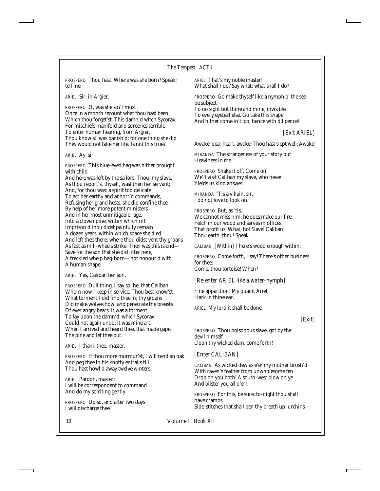| The Tempest: ACT I |  |
|--------------------|--|
|--------------------|--|

*PROSPERO* Thou hast. Where was she born? Speak; tell me.

*ARIEL* Sir, in Argier.

*PROSPERO* O, was she so? I must Once in a month recount what thou hast been, Which thou forget'st. This damn'd witch Sycorax, For mischiefs manifold and sorceries terrible To enter human hearing, from Argier, Thou know'st, was banish'd: for one thing she did They would not take her life. Is not this true?

*ARIEL* Ay, sir.

*PROSPERO* This blue-eyed hag was hither brought with child

And here was left by the sailors. Thou, my slave, As thou report'st thyself, wast then her servant; And, for thou wast a spirit too delicate To act her earthy and abhorr'd commands, Refusing her grand hests, she did confine thee, By help of her more potent ministers And in her most unmitigable rage, Into a cloven pine; within which rift Imprison'd thou didst painfully remain A dozen years; within which space she died And left thee there; where thou didst vent thy groans As fast as mill-wheels strike. Then was this island— Save for the son that she did litter here, A freckled whelp hag-born—not honour'd with A human shape.

*ARIEL* Yes, Caliban her son.

*PROSPERO* Dull thing, I say so; he, that Caliban Whom now I keep in service. Thou best know'st What torment I did find thee in; thy groans Did make wolves howl and penetrate the breasts Of ever angry bears: it was a torment To lay upon the damn'd, which Sycorax Could not again undo: it was mine art, When I arrived and heard thee, that made gape The pine and let thee out.

*ARIEL* I thank thee, master.

*PROSPERO* If thou more murmur'st, I will rend an oak And peg thee in his knotty entrails till Thou hast howl'd away twelve winters.

*ARIEL* Pardon, master; I will be correspondent to command And do my spiriting gently.

*PROSPERO* Do so, and after two days I will discharge thee.

*ARIEL* That's my noble master! What shall I do? Say what; what shall I do?

*PROSPERO* Go make thyself like a nymph o' the sea: be subject To no sight but thine and mine, invisible To every eyeball else. Go take this shape

And hither come in't: go, hence with diligence!

*[Exit ARIEL]*

Awake, dear heart, awake! Thou hast slept well; Awake!

*MIRANDA* The strangeness of your story put Heaviness in me.

*PROSPERO* Shake it off. Come on; We'll visit Caliban my slave, who never Yields us kind answer.

*MIRANDA* 'Tis a villain, sir, I do not love to look on.

*PROSPERO* But, as 'tis, We cannot miss him: he does make our fire, Fetch in our wood and serves in offices That profit us. What, ho! Slave! Caliban! Thou earth, thou! Speak.

*CALIBAN [Within]* There's wood enough within.

*PROSPERO* Come forth, I say! There's other business for thee: Come, thou tortoise! When?

*[Re-enter ARIEL like a water-nymph]*

Fine apparition! My quaint Ariel, Hark in thine ear.

*ARIEL* My lord it shall be done.

#### *[Exit]*

*PROSPERO* Thou poisonous slave, got by the devil himself Upon thy wicked dam, come forth!

#### *[Enter CALIBAN]*

*CALIBAN* As wicked dew as e'er my mother brush'd With raven's feather from unwholesome fen Drop on you both! A south-west blow on ye And blister you all o'er!

*PROSPERO* For this, be sure, to-night thou shalt have cramps, Side-stitches that shall pen thy breath up; urchins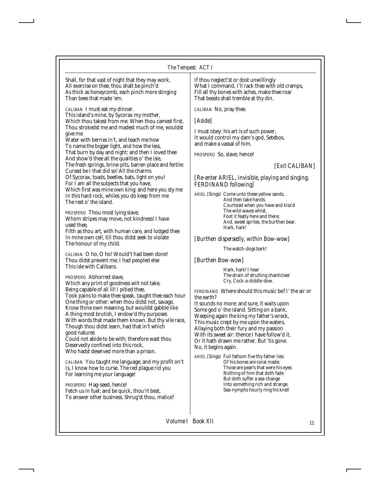Shall, for that vast of night that they may work, All exercise on thee; thou shalt be pinch'd As thick as honeycomb, each pinch more stinging Than bees that made 'em.

*CALIBAN* I must eat my dinner. This island's mine, by Sycorax my mother, Which thou takest from me. When thou camest first, Thou strokedst me and madest much of me, wouldst give me

Water with berries in't, and teach me how To name the bigger light, and how the less, That burn by day and night: and then I loved thee And show'd thee all the qualities o' the isle, The fresh springs, brine-pits, barren place and fertile: Cursed be I that did so! All the charms Of Sycorax, toads, beetles, bats, light on you! For I am all the subjects that you have, Which first was mine own king: and here you sty me In this hard rock, whiles you do keep from me The rest o' the island.

*PROSPERO* Thou most lying slave, Whom stripes may move, not kindness! I have used thee,

Filth as thou art, with human care, and lodged thee In mine own cell, till thou didst seek to violate The honour of my child.

*CALIBAN* O ho, O ho! Would't had been done! Thou didst prevent me; I had peopled else This isle with Calibans.

*PROSPERO* Abhorred slave, Which any print of goodness wilt not take, Being capable of all ill! I pitied thee, Took pains to make thee speak, taught thee each hour One thing or other: when thou didst not, savage, Know thine own meaning, but wouldst gabble like A thing most brutish, I endow'd thy purposes With words that made them known. But thy vile race, Though thou didst learn, had that in't which good natures

Could not abide to be with; therefore wast thou Deservedly confined into this rock, Who hadst deserved more than a prison.

*CALIBAN* You taught me language; and my profit on't Is, I know how to curse. The red plague rid you For learning me your language!

*PROSPERO* Hag-seed, hence! Fetch us in fuel; and be quick, thou'rt best, To answer other business. Shrug'st thou, malice? If thou neglect'st or dost unwillingly What I command, I'll rack thee with old cramps, Fill all thy bones with aches, make thee roar That beasts shall tremble at thy din.

*CALIBAN* No, pray thee.

*[Aside]*

I must obey: his art is of such power, It would control my dam's god, Setebos, and make a vassal of him.

*PROSPERO* So, slave; hence!

# *[Exit CALIBAN]*

## *[Re-enter ARIEL, invisible, playing and singing; FERDINAND following]*

*ARIEL* (Sings) Come unto these yellow sands, And then take hands: Courtsied when you have and kiss'd The wild waves whist, Foot it featly here and there; And, sweet sprites, the burthen bear. Hark, hark!

### *[Burthen dispersedly, within Bow-wow]*

The watch-dogs bark!

*[Burthen Bow-wow]*

Hark, hark! I hear The strain of strutting chanticleer Cry, Cock-a-diddle-dow.

*FERDINAND* Where should this music be? I' the air or the earth?

It sounds no more: and sure, it waits upon Some god o' the island. Sitting on a bank, Weeping again the king my father's wreck, This music crept by me upon the waters, Allaying both their fury and my passion With its sweet air: thence I have follow'd it, Or it hath drawn me rather. But 'tis gone. No, it begins again.

*ARIEL* (Sings) Full fathom five thy father lies; Of his bones are coral made; Those are pearls that were his eyes: Nothing of him that doth fade But doth suffer a sea-change Into something rich and strange. Sea-nymphs hourly ring his knell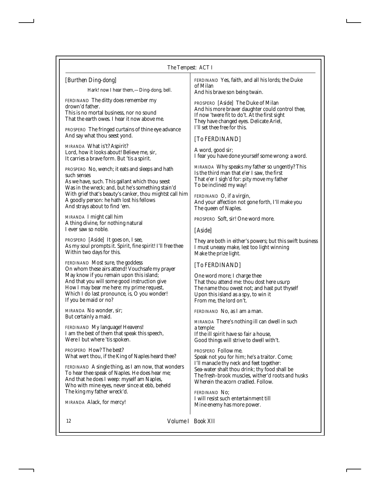#### *The Tempest: ACT I*

## *[Burthen Ding-dong]*

Hark! now I hear them,—Ding-dong, bell.

*FERDINAND* The ditty does remember my drown'd father. This is no mortal business, nor no sound That the earth owes. I hear it now above me.

*PROSPERO* The fringed curtains of thine eye advance And say what thou seest yond.

*MIRANDA* What is't? Aspirit? Lord, how it looks about! Believe me, sir, It carries a brave form. But 'tis a spirit.

*PROSPERO* No, wench; it eats and sleeps and hath such senses As we have, such. This gallant which thou seest Was in the wreck; and, but he's something stain'd With grief that's beauty's canker, thou mightst call him A goodly person: he hath lost his fellows And strays about to find 'em.

*MIRANDA* I might call him A thing divine, for nothing natural I ever saw so noble.

*PROSPERO [Aside]* It goes on, I see, As my soul prompts it. Spirit, fine spirit! I'll free thee Within two days for this.

*FERDINAND* Most sure, the goddess On whom these airs attend! Vouchsafe my prayer May know if you remain upon this island; And that you will some good instruction give How I may bear me here: my prime request, Which I do last pronounce, is, O you wonder! If you be maid or no?

*MIRANDA* No wonder, sir; But certainly a maid.

*FERDINAND* My language! Heavens! I am the best of them that speak this speech, Were I but where 'tis spoken.

*PROSPERO* How? The best? What wert thou, if the King of Naples heard thee?

*FERDINAND* A single thing, as I am now, that wonders To hear thee speak of Naples. He does hear me; And that he does I weep: myself am Naples, Who with mine eyes, never since at ebb, beheld The king my father wreck'd.

*MIRANDA* Alack, for mercy!

*FERDINAND* Yes, faith, and all his lords; the Duke of Milan

And his brave son being twain.

*PROSPERO [Aside]* The Duke of Milan And his more braver daughter could control thee, If now 'twere fit to do't. At the first sight They have changed eyes. Delicate Ariel, I'll set thee free for this.

#### *[To FERDINAND]*

A word, good sir; I fear you have done yourself some wrong: a word.

*MIRANDA* Why speaks my father so ungently? This Is the third man that e'er I saw, the first That e'er I sigh'd for: pity move my father To be inclined my way!

*FERDINAND* O, if a virgin, And your affection not gone forth, I'll make you The queen of Naples.

*PROSPERO* Soft, sir! One word more.

#### *[Aside]*

They are both in either's powers; but this swift business I must uneasy make, lest too light winning Make the prize light.

#### *[To FERDINAND]*

One word more; I charge thee That thou attend me: thou dost here usurp The name thou owest not; and hast put thyself Upon this island as a spy, to win it From me, the lord on't.

*FERDINAND* No, as I am a man.

*MIRANDA* There's nothing ill can dwell in such a temple: If the ill spirit have so fair a house, Good things will strive to dwell with't.

*PROSPERO* Follow me. Speak not you for him; he's a traitor. Come; I'll manacle thy neck and feet together: Sea-water shalt thou drink; thy food shall be The fresh-brook muscles, wither'd roots and husks Wherein the acorn cradled. Follow.

*FERDINAND* No; I will resist such entertainment till Mine enemy has more power.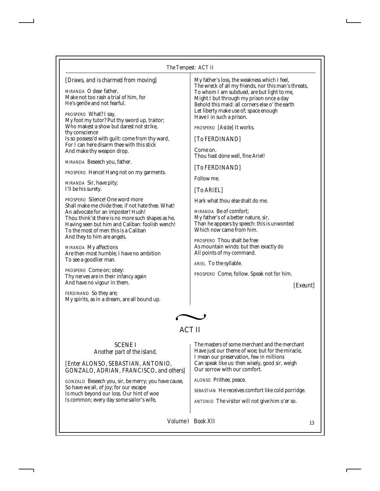#### *The Tempest: ACT II*

| [Draws, and is charmed from moving]<br>MIRANDA O dear father,<br>Make not too rash a trial of him, for<br>He's gentle and not fearful.<br>PROSPERO What? I say,<br>My foot my tutor? Put thy sword up, traitor;<br>Who makest a show but darest not strike.<br>thy conscience<br>Is so possess'd with guilt: come from thy ward,<br>For I can here disarm thee with this stick<br>And make thy weapon drop.<br>MIRANDA Beseech you, father.<br>PROSPERO Hence! Hang not on my garments.<br>MIRANDA Sir, have pity;<br>I'll be his surety.<br>PROSPERO Silence! One word more<br>Shall make me chide thee, if not hate thee. What! | My father's loss, the weakness which I feel,<br>The wreck of all my friends, nor this man's threats,<br>To whom I am subdued, are but light to me,<br>Might I but through my prison once a day<br>Behold this maid: all corners else o' the earth<br>Let liberty make use of; space enough<br>Have I in such a prison.<br>PROSPERO [Aside] It works.<br>[To FERDINAND]<br>Come on.<br>Thou hast done well, fine Ariel!<br>[To FERDINAND]<br>Follow me.<br>[To ARIEL]<br>Hark what thou else shalt do me. |
|-----------------------------------------------------------------------------------------------------------------------------------------------------------------------------------------------------------------------------------------------------------------------------------------------------------------------------------------------------------------------------------------------------------------------------------------------------------------------------------------------------------------------------------------------------------------------------------------------------------------------------------|----------------------------------------------------------------------------------------------------------------------------------------------------------------------------------------------------------------------------------------------------------------------------------------------------------------------------------------------------------------------------------------------------------------------------------------------------------------------------------------------------------|
| To the most of men this is a Caliban<br>And they to him are angels.<br>MIRANDA My affections<br>Are then most humble; I have no ambition<br>To see a goodlier man.<br>PROSPERO Come on; obey:<br>Thy nerves are in their infancy again                                                                                                                                                                                                                                                                                                                                                                                            | Which now came from him.<br>PROSPERO Thou shalt be free<br>As mountain winds: but then exactly do<br>All points of my command.<br>ARIEL To the syllable.<br><i>PROSPERO</i> Come, follow. Speak not for him.                                                                                                                                                                                                                                                                                             |
| And have no vigour in them.<br><b>FERDINAND</b> So they are;<br>My spirits, as in a dream, are all bound up.                                                                                                                                                                                                                                                                                                                                                                                                                                                                                                                      | [Exeunt]                                                                                                                                                                                                                                                                                                                                                                                                                                                                                                 |

# ACT II

#### SCENE I *Another part of the island.*

*[Enter ALONSO, SEBASTIAN, ANTONIO, GONZALO, ADRIAN, FRANCISCO, and others]*

*GONZALO* Beseech you, sir, be merry; you have cause, So have we all, of joy; for our escape Is much beyond our loss. Our hint of woe Is common; every day some sailor's wife,

The masters of some merchant and the merchant Have just our theme of woe; but for the miracle, I mean our preservation, few in millions Can speak like us: then wisely, good sir, weigh Our sorrow with our comfort.

*ALONSO* Prithee, peace.

*SEBASTIAN* He receives comfort like cold porridge.

*ANTONIO* The visitor will not give him o'er so.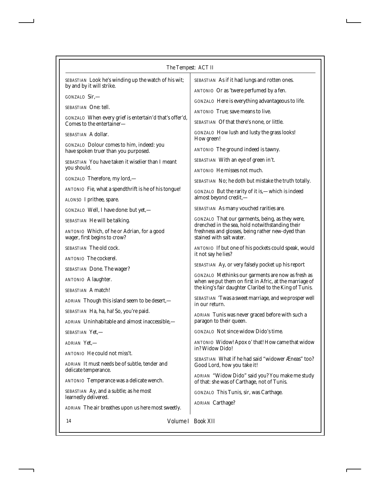| The Tempest: ACT II                                                                  |                                                                                                                    |  |
|--------------------------------------------------------------------------------------|--------------------------------------------------------------------------------------------------------------------|--|
| SEBASTIAN Look he's winding up the watch of his wit;                                 | SEBASTIAN As if it had lungs and rotten ones.                                                                      |  |
| by and by it will strike.                                                            | ANTONIO Or as 'twere perfumed by a fen.                                                                            |  |
| $GONZALO$ Sir,—<br><i>SEBASTIAN</i> One: tell.                                       | GONZALO Here is everything advantageous to life.                                                                   |  |
|                                                                                      | ANTONIO True; save means to live.                                                                                  |  |
| GONZALO When every grief is entertain'd that's offer'd,<br>Comes to the entertainer- | SEBASTIAN Of that there's none, or little.                                                                         |  |
| <i>SEBASTIAN</i> A dollar.                                                           | GONZALO How lush and lusty the grass looks!<br>How green!                                                          |  |
| GONZALO Dolour comes to him, indeed: you<br>have spoken truer than you purposed.     | ANTONIO The ground indeed is tawny.                                                                                |  |
| SEBASTIAN You have taken it wiselier than I meant                                    | SEBASTIAN With an eye of green in't.                                                                               |  |
| you should.                                                                          | <b>ANTONIO</b> He misses not much.                                                                                 |  |
| <i>GONZALO</i> Therefore, my lord,—                                                  | SEBASTIAN No; he doth but mistake the truth totally.                                                               |  |
| ANTONIO Fie, what a spendthrift is he of his tongue!                                 | GONZALO But the rarity of it is,—which is indeed<br>almost beyond credit,-                                         |  |
| ALONSO I prithee, spare.                                                             | SEBASTIAN As many vouched rarities are.                                                                            |  |
| GONZALO Well, I have done: but yet,-                                                 | GONZALO That our garments, being, as they were,                                                                    |  |
| SEBASTIAN He will be talking.<br>ANTONIO Which, of he or Adrian, for a good          | drenched in the sea, hold notwithstanding their<br>freshness and glosses, being rather new-dyed than               |  |
| wager, first begins to crow?                                                         | stained with salt water.                                                                                           |  |
| <i>SEBASTIAN</i> The old cock.                                                       | ANTONIO If but one of his pockets could speak, would                                                               |  |
| <i>ANTONIO</i> The cockerel.                                                         | it not say he lies?                                                                                                |  |
| SEBASTIAN Done. The wager?                                                           | SEBASTIAN Ay, or very falsely pocket up his report                                                                 |  |
| <b>ANTONIO</b> A laughter.                                                           | <b>GONZALO</b> Methinks our garments are now as fresh as<br>when we put them on first in Afric, at the marriage of |  |
| <i>SEBASTIAN</i> A match!                                                            | the king's fair daughter Claribel to the King of Tunis.                                                            |  |
| ADRIAN Though this island seem to be desert,-                                        | SEBASTIAN 'Twas a sweet marriage, and we prosper well<br>in our return.                                            |  |
| SEBASTIAN Ha, ha, ha! So, you're paid.                                               | ADRIAN Tunis was never graced before with such a                                                                   |  |
| ADRIAN Uninhabitable and almost inaccessible,-                                       | paragon to their queen.                                                                                            |  |
| <i>SEBASTIAN</i> Yet,—                                                               | GONZALO Not since widow Dido's time.                                                                               |  |
| ADRIAN Yet,-                                                                         | ANTONIO Widow! Apox o' that! How came that widow<br>in? Widow Dido!                                                |  |
| ANTONIO He could not miss't.                                                         | SEBASTIAN What if he had said "widower Æneas" too?                                                                 |  |
| ADRIAN It must needs be of subtle, tender and<br>delicate temperance.                | Good Lord, how you take it!                                                                                        |  |
| ANTONIO Temperance was a delicate wench.                                             | ADRIAN "Widow Dido" said you? You make me study<br>of that: she was of Carthage, not of Tunis.                     |  |
| SEBASTIAN Ay, and a subtle; as he most<br>learnedly delivered.                       | GONZALO This Tunis, sir, was Carthage.                                                                             |  |
| ADRIAN The air breathes upon us here most sweetly.                                   | <b>ADRIAN</b> Carthage?                                                                                            |  |

14 *Volume I Book XII*

Ï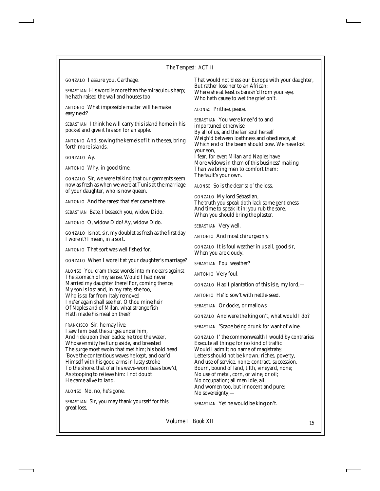Ï

| GONZALO I assure you, Carthage.                                                                                                                                                                                                                                                                                                                                           | That would not bless our Europe with your daughter,                                                                                                                                                                                                                                                                                                                                                                   |
|---------------------------------------------------------------------------------------------------------------------------------------------------------------------------------------------------------------------------------------------------------------------------------------------------------------------------------------------------------------------------|-----------------------------------------------------------------------------------------------------------------------------------------------------------------------------------------------------------------------------------------------------------------------------------------------------------------------------------------------------------------------------------------------------------------------|
| <i>SEBASTIAN</i> His word is more than the miraculous harp;<br>he hath raised the wall and houses too.                                                                                                                                                                                                                                                                    | But rather lose her to an African;<br>Where she at least is banish'd from your eye,<br>Who hath cause to wet the grief on't.                                                                                                                                                                                                                                                                                          |
| ANTONIO What impossible matter will he make<br>easy next?                                                                                                                                                                                                                                                                                                                 | ALONSO Prithee, peace.                                                                                                                                                                                                                                                                                                                                                                                                |
| SEBASTIAN I think he will carry this island home in his<br>pocket and give it his son for an apple.                                                                                                                                                                                                                                                                       | <b>SEBASTIAN</b> You were kneel'd to and<br>importuned otherwise<br>By all of us, and the fair soul herself                                                                                                                                                                                                                                                                                                           |
| ANTONIO And, sowing the kernels of it in the sea, bring<br>forth more islands.                                                                                                                                                                                                                                                                                            | Weigh'd between loathness and obedience, at<br>Which end o' the beam should bow. We have lost<br>your son,                                                                                                                                                                                                                                                                                                            |
| GONZALO Ay.                                                                                                                                                                                                                                                                                                                                                               | I fear, for ever: Milan and Naples have                                                                                                                                                                                                                                                                                                                                                                               |
| ANTONIO Why, in good time.                                                                                                                                                                                                                                                                                                                                                | More widows in them of this business' making<br>Than we bring men to comfort them:                                                                                                                                                                                                                                                                                                                                    |
| GONZALO Sir, we were talking that our garments seem<br>now as fresh as when we were at Tunis at the marriage<br>of your daughter, who is now queen.                                                                                                                                                                                                                       | The fault's your own.<br>ALONSO So is the dear'st o' the loss.                                                                                                                                                                                                                                                                                                                                                        |
| ANTONIO And the rarest that e'er came there.                                                                                                                                                                                                                                                                                                                              | GONZALO My lord Sebastian,<br>The truth you speak doth lack some gentleness                                                                                                                                                                                                                                                                                                                                           |
| SEBASTIAN Bate, I beseech you, widow Dido.                                                                                                                                                                                                                                                                                                                                | And time to speak it in: you rub the sore,<br>When you should bring the plaster.                                                                                                                                                                                                                                                                                                                                      |
| ANTONIO O, widow Dido! Ay, widow Dido.                                                                                                                                                                                                                                                                                                                                    | SEBASTIAN Very well.                                                                                                                                                                                                                                                                                                                                                                                                  |
| <i>GONZALO</i> Is not, sir, my doublet as fresh as the first day<br>I wore it? I mean, in a sort.                                                                                                                                                                                                                                                                         | ANTONIO And most chirurgeonly.                                                                                                                                                                                                                                                                                                                                                                                        |
| ANTONIO That sort was well fished for.                                                                                                                                                                                                                                                                                                                                    | GONZALO It is foul weather in us all, good sir,<br>When you are cloudy.                                                                                                                                                                                                                                                                                                                                               |
| GONZALO When I wore it at your daughter's marriage?                                                                                                                                                                                                                                                                                                                       | <b>SEBASTIAN Foul weather?</b>                                                                                                                                                                                                                                                                                                                                                                                        |
| ALONSO You cram these words into mine ears against<br>The stomach of my sense. Would I had never                                                                                                                                                                                                                                                                          | ANTONIO Very foul.                                                                                                                                                                                                                                                                                                                                                                                                    |
| Married my daughter there! For, coming thence,                                                                                                                                                                                                                                                                                                                            | GONZALO Had I plantation of this isle, my lord,-                                                                                                                                                                                                                                                                                                                                                                      |
| My son is lost and, in my rate, she too,<br>Who is so far from Italy removed                                                                                                                                                                                                                                                                                              | ANTONIO He'ld sow't with nettle-seed.                                                                                                                                                                                                                                                                                                                                                                                 |
| I ne'er again shall see her. O thou mine heir<br>Of Naples and of Milan, what strange fish                                                                                                                                                                                                                                                                                | <b>SEBASTIAN</b> Or docks, or mallows.                                                                                                                                                                                                                                                                                                                                                                                |
| Hath made his meal on thee?                                                                                                                                                                                                                                                                                                                                               | GONZALO And were the king on't, what would I do?                                                                                                                                                                                                                                                                                                                                                                      |
| <i>FRANCISCO</i> Sir, he may live:<br>I saw him beat the surges under him,                                                                                                                                                                                                                                                                                                | SEBASTIAN 'Scape being drunk for want of wine.                                                                                                                                                                                                                                                                                                                                                                        |
| And ride upon their backs; he trod the water,<br>Whose enmity he flung aside, and breasted<br>The surge most swoln that met him; his bold head<br>'Bove the contentious waves he kept, and oar'd<br>Himself with his good arms in lusty stroke<br>To the shore, that o'er his wave-worn basis bow'd,<br>As stooping to relieve him: I not doubt<br>He came alive to land. | GONZALO I' the commonwealth I would by contraries<br>Execute all things; for no kind of traffic<br>Would I admit; no name of magistrate;<br>Letters should not be known; riches, poverty,<br>And use of service, none; contract, succession,<br>Bourn, bound of land, tilth, vineyard, none;<br>No use of metal, corn, or wine, or oil;<br>No occupation; all men idle, all;<br>And women too, but innocent and pure; |
| <i>ALONSO</i> No, no, he's gone.                                                                                                                                                                                                                                                                                                                                          | No sovereignty;—                                                                                                                                                                                                                                                                                                                                                                                                      |
| SEBASTIAN Sir, you may thank yourself for this<br>great loss,                                                                                                                                                                                                                                                                                                             | SEBASTIAN Yet he would be king on't.                                                                                                                                                                                                                                                                                                                                                                                  |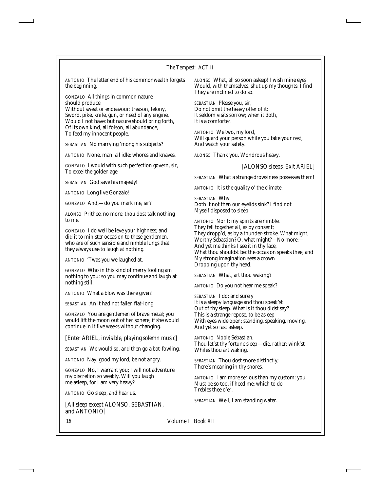| The Tempest: ACT II                                                                                                                                                                                                                                                                                                                                                                                                                                                                                                                                                                           |                                                                                                                                                                                                                                                                                                                                                                                                                                                                                                                  |  |
|-----------------------------------------------------------------------------------------------------------------------------------------------------------------------------------------------------------------------------------------------------------------------------------------------------------------------------------------------------------------------------------------------------------------------------------------------------------------------------------------------------------------------------------------------------------------------------------------------|------------------------------------------------------------------------------------------------------------------------------------------------------------------------------------------------------------------------------------------------------------------------------------------------------------------------------------------------------------------------------------------------------------------------------------------------------------------------------------------------------------------|--|
| ANTONIO The latter end of his commonwealth forgets<br>the beginning.<br>GONZALO All things in common nature<br>should produce<br>Without sweat or endeavour: treason, felony,<br>Sword, pike, knife, gun, or need of any engine,<br>Would I not have; but nature should bring forth,<br>Of its own kind, all foison, all abundance,<br>To feed my innocent people.<br>SEBASTIAN No marrying 'mong his subjects?<br><b>ANTONIO</b> None, man; all idle: whores and knaves.<br>GONZALO I would with such perfection govern, sir,<br>To excel the golden age.<br>SEBASTIAN God save his majesty! | ALONSO What, all so soon asleep! I wish mine eyes<br>Would, with themselves, shut up my thoughts: I find<br>They are inclined to do so.<br>SEBASTIAN Please you, sir,<br>Do not omit the heavy offer of it:<br>It seldom visits sorrow; when it doth,<br>It is a comforter.<br>ANTONIO We two, my lord,<br>Will guard your person while you take your rest,<br>And watch your safety.<br>ALONSO Thank you. Wondrous heavy.<br>[ALONSO sleeps. Exit ARIEL]<br>SEBASTIAN What a strange drowsiness possesses them! |  |
|                                                                                                                                                                                                                                                                                                                                                                                                                                                                                                                                                                                               | ANTONIO It is the quality o' the climate.                                                                                                                                                                                                                                                                                                                                                                                                                                                                        |  |
| <b>ANTONIO</b> Long live Gonzalo!<br>GONZALO And,-do you mark me, sir?<br>ALONSO Prithee, no more: thou dost talk nothing                                                                                                                                                                                                                                                                                                                                                                                                                                                                     | SEBASTIAN Why<br>Doth it not then our eyelids sink? I find not<br>Myself disposed to sleep.                                                                                                                                                                                                                                                                                                                                                                                                                      |  |
| to me.<br>GONZALO I do well believe your highness; and<br>did it to minister occasion to these gentlemen,<br>who are of such sensible and nimble lungs that<br>they always use to laugh at nothing.<br>ANTONIO 'Twas you we laughed at.<br>GONZALO Who in this kind of merry fooling am                                                                                                                                                                                                                                                                                                       | ANTONIO Nor I; my spirits are nimble.<br>They fell together all, as by consent;<br>They dropp'd, as by a thunder-stroke. What might,<br>Worthy Sebastian? O, what might?-No more:-<br>And yet me thinks I see it in thy face,<br>What thou shouldst be: the occasion speaks thee, and<br>My strong imagination sees a crown<br>Dropping upon thy head.                                                                                                                                                           |  |
| nothing to you: so you may continue and laugh at<br>nothing still.<br>ANTONIO What a blow was there given!<br>SEBASTIAN An it had not fallen flat-long.<br>GONZALO You are gentlemen of brave metal; you<br>would lift the moon out of her sphere, if she would<br>continue in it five weeks without changing.                                                                                                                                                                                                                                                                                | SEBASTIAN What, art thou waking?<br>ANTONIO Do you not hear me speak?<br><i>SEBASTIAN</i> I do; and surely<br>It is a sleepy language and thou speak'st<br>Out of thy sleep. What is it thou didst say?<br>This is a strange repose, to be asleep<br>With eyes wide open; standing, speaking, moving,<br>And yet so fast asleep.                                                                                                                                                                                 |  |
| [Enter ARIEL, invisible, playing solemn music]<br>SEBASTIAN We would so, and then go a bat-fowling.<br>ANTONIO Nay, good my lord, be not angry.<br>GONZALO No, I warrant you; I will not adventure<br>my discretion so weakly. Will you laugh<br>me asleep, for I am very heavy?<br>ANTONIO Go sleep, and hear us.                                                                                                                                                                                                                                                                            | <b>ANTONIO</b> Noble Sebastian,<br>Thou let'st thy fortune sleep-die, rather; wink'st<br>Whiles thou art waking.<br>SEBASTIAN Thou dost snore distinctly;<br>There's meaning in thy snores.<br><i>ANTONIO</i> I am more serious than my custom: you<br>Must be so too, if heed me; which to do<br>Trebles thee o'er.                                                                                                                                                                                             |  |
| [All sleep except ALONSO, SEBASTIAN,<br>and ANTONIO]                                                                                                                                                                                                                                                                                                                                                                                                                                                                                                                                          | SEBASTIAN Well, I am standing water.                                                                                                                                                                                                                                                                                                                                                                                                                                                                             |  |

16 *Volume I Book XII*

Ï

*and ANTONIO]*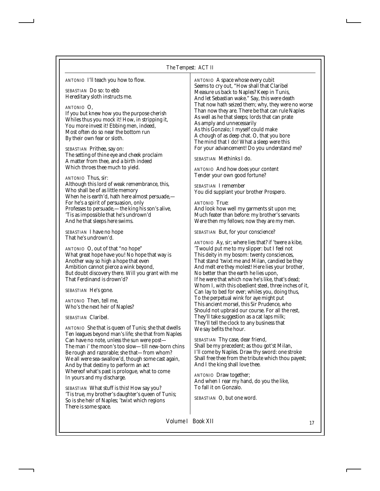# *The Tempest: ACT II*

| ANTONIO I'll teach you how to flow.<br><i>SEBASTIAN</i> Do so: to ebb<br>Hereditary sloth instructs me.<br>ANTONIO O,<br>If you but knew how you the purpose cherish<br>Whiles thus you mock it! How, in stripping it,<br>You more invest it! Ebbing men, indeed,<br>Most often do so near the bottom run<br>By their own fear or sloth.<br>SEBASTIAN Prithee, say on:<br>The setting of thine eye and cheek proclaim<br>A matter from thee, and a birth indeed<br>Which throes thee much to yield. | ANTONIO A space whose every cubit<br>Seems to cry out, "How shall that Claribel<br>Measure us back to Naples? Keep in Tunis,<br>And let Sebastian wake." Say, this were death<br>That now hath seized them; why, they were no worse<br>Than now they are. There be that can rule Naples<br>As well as he that sleeps; lords that can prate<br>As amply and unnecessarily<br>As this Gonzalo; I myself could make<br>A chough of as deep chat. O, that you bore<br>The mind that I do! What a sleep were this<br>For your advancement! Do you understand me?<br>SEBASTIAN Methinks I do.<br><b>ANTONIO</b> And how does your content |
|-----------------------------------------------------------------------------------------------------------------------------------------------------------------------------------------------------------------------------------------------------------------------------------------------------------------------------------------------------------------------------------------------------------------------------------------------------------------------------------------------------|-------------------------------------------------------------------------------------------------------------------------------------------------------------------------------------------------------------------------------------------------------------------------------------------------------------------------------------------------------------------------------------------------------------------------------------------------------------------------------------------------------------------------------------------------------------------------------------------------------------------------------------|
| ANTONIO Thus, sir:<br>Although this lord of weak remembrance, this,<br>Who shall be of as little memory<br>When he is earth'd, hath here almost persuade,—<br>For he's a spirit of persuasion, only<br>Professes to persuade,—the king his son's alive,<br>'Tis as impossible that he's undrown'd<br>And he that sleeps here swims.                                                                                                                                                                 | Tender your own good fortune?<br><i>SEBASTIAN</i> I remember<br>You did supplant your brother Prospero.<br>ANTONIO True:<br>And look how well my garments sit upon me;<br>Much feater than before: my brother's servants<br>Were then my fellows; now they are my men.                                                                                                                                                                                                                                                                                                                                                              |
| <i>SEBASTIAN</i> I have no hope<br>That he's undrown'd.<br>ANTONIO O, out of that "no hope"<br>What great hope have you! No hope that way is<br>Another way so high a hope that even<br>Ambition cannot pierce a wink beyond,<br>But doubt discovery there. Will you grant with me<br>That Ferdinand is drown'd?<br><i>SEBASTIAN</i> He's gone.                                                                                                                                                     | SEBASTIAN But, for your conscience?<br>ANTONIO Ay, sir; where lies that? if 'twere a kibe,<br>'Twould put me to my slipper: but I feel not<br>This deity in my bosom: twenty consciences,<br>That stand 'twixt me and Milan, candied be they<br>And melt ere they molest! Here lies your brother,<br>No better than the earth he lies upon,<br>If he were that which now he's like, that's dead;<br>Whom I, with this obedient steel, three inches of it,<br>Can lay to bed for ever; whiles you, doing thus,                                                                                                                       |
| <i>ANTONIO</i> Then, tell me,<br>Who's the next heir of Naples?<br><b>SEBASTIAN Claribel.</b><br>ANTONIO She that is queen of Tunis; she that dwells<br>Ten leagues beyond man's life; she that from Naples                                                                                                                                                                                                                                                                                         | To the perpetual wink for aye might put<br>This ancient morsel, this Sir Prudence, who<br>Should not upbraid our course. For all the rest,<br>They'll take suggestion as a cat laps milk;<br>They'll tell the clock to any business that<br>We say befits the hour.                                                                                                                                                                                                                                                                                                                                                                 |
| Can have no note, unless the sun were post-<br>The man i' the moon's too slow-till new-born chins<br>Be rough and razorable; she that-from whom?<br>We all were sea-swallow'd, though some cast again,<br>And by that destiny to perform an act<br>Whereof what's past is prologue, what to come<br>In yours and my discharge.                                                                                                                                                                      | SEBASTIAN Thy case, dear friend,<br>Shall be my precedent; as thou got's Milan,<br>I'll come by Naples. Draw thy sword: one stroke<br>Shall free thee from the tribute which thou payest;<br>And I the king shall love thee.<br>ANTONIO Draw together;<br>And when I rear my hand, do you the like,                                                                                                                                                                                                                                                                                                                                 |
| <i>SEBASTIAN</i> What stuff is this! How say you?<br>'Tis true, my brother's daughter's queen of Tunis;<br>So is she heir of Naples; 'twixt which regions<br>There is some space.                                                                                                                                                                                                                                                                                                                   | To fall it on Gonzalo.<br>SEBASTIAN O, but one word.                                                                                                                                                                                                                                                                                                                                                                                                                                                                                                                                                                                |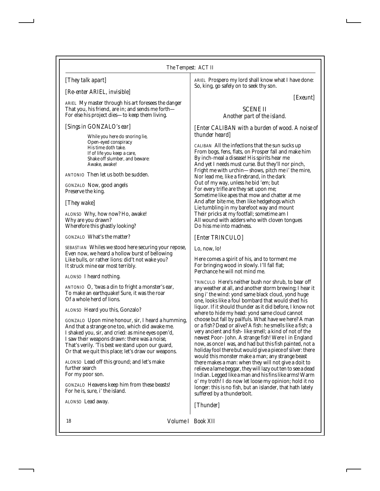# *[They talk apart]*

#### *[Re-enter ARIEL, invisible]*

*ARIEL* My master through his art foresees the danger That you, his friend, are in; and sends me forth— For else his project dies—to keep them living.

# *[Sings in GONZALO's ear]*

While you here do snoring lie, Open-eyed conspiracy His time doth take. If of life you keep a care, Shake off slumber, and beware: Awake, awake!

*ANTONIO* Then let us both be sudden.

*GONZALO* Now, good angels Preserve the king.

*[They wake]*

*ALONSO* Why, how now? Ho, awake! Why are you drawn? Wherefore this ghastly looking?

*GONZALO* What's the matter?

*SEBASTIAN* Whiles we stood here securing your repose, Even now, we heard a hollow burst of bellowing Like bulls, or rather lions: did't not wake you? It struck mine ear most terribly.

*ALONSO* I heard nothing.

*ANTONIO* O, 'twas a din to fright a monster's ear, To make an earthquake! Sure, it was the roar Of a whole herd of lions.

*ALONSO* Heard you this, Gonzalo?

*GONZALO* Upon mine honour, sir, I heard a humming, And that a strange one too, which did awake me. I shaked you, sir, and cried: as mine eyes open'd, I saw their weapons drawn: there was a noise, That's verily. 'Tis best we stand upon our guard, Or that we quit this place; let's draw our weapons.

*ALONSO* Lead off this ground; and let's make further search For my poor son.

*GONZALO* Heavens keep him from these beasts! For he is, sure, i' the island.

*ALONSO* Lead away.

*ARIEL* Prospero my lord shall know what I have done: So, king, go safely on to seek thy son.

*[Exeunt]*

## SCENE II *Another part of the island.*

*[Enter CALIBAN with a burden of wood. A noise of thunder heard]*

*CALIBAN* All the infections that the sun sucks up From bogs, fens, flats, on Prosper fall and make him By inch-meal a disease! His spirits hear me And yet I needs must curse. But they'll nor pinch, Fright me with urchin—shows, pitch me i' the mire, Nor lead me, like a firebrand, in the dark Out of my way, unless he bid 'em; but For every trifle are they set upon me; Sometime like apes that mow and chatter at me And after bite me, then like hedgehogs which Lie tumbling in my barefoot way and mount Their pricks at my footfall; sometime am I All wound with adders who with cloven tongues Do hiss me into madness.

*[Enter TRINCULO]*

Lo, now, lo!

Here comes a spirit of his, and to torment me For bringing wood in slowly. I'll fall flat; Perchance he will not mind me.

*TRINCULO* Here's neither bush nor shrub, to bear off any weather at all, and another storm brewing; I hear it sing i' the wind: yond same black cloud, yond huge one, looks like a foul bombard that would shed his liquor. If it should thunder as it did before, I know not where to hide my head: yond same cloud cannot choose but fall by pailfuls. What have we here? A man or a fish? Dead or alive? A fish: he smells like a fish; a very ancient and fish- like smell; a kind of not of the newest Poor- John. A strange fish! Were I in England now, as once I was, and had but this fish painted, not a holiday fool there but would give a piece of silver: there would this monster make a man; any strange beast there makes a man: when they will not give a doit to relieve a lame beggar, they will lazy out ten to see a dead Indian. Legged like a man and his fins like arms! Warm o' my troth! I do now let loose my opinion; hold it no longer: this is no fish, but an islander, that hath lately suffered by a thunderbolt.

*[Thunder]*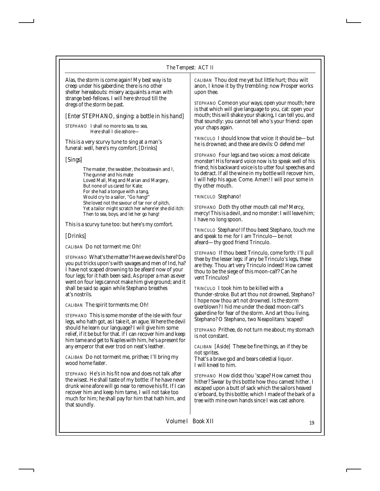#### *The Tempest: ACT II*

Alas, the storm is come again! My best way is to creep under his gaberdine; there is no other shelter hereabouts: misery acquaints a man with strange bed-fellows. I will here shroud till the dregs of the storm be past.

*[Enter STEPHANO, singing: a bottle in his hand]*

*STEPHANO* I shall no more to sea, to sea, Here shall I die ashore—

This is a very scurvy tune to sing at a man's funeral: well, here's my comfort. *[Drinks]*

#### *[Sings]*

The master, the swabber, the boatswain and I, The gunner and his mate Loved Mall, Meg and Marian and Margery, But none of us cared for Kate; For she had a tongue with a tang, Would cry to a sailor, "Go hang!" She loved not the savour of tar nor of pitch, Yet a tailor might scratch her where'er she did itch: Then to sea, boys, and let her go hang!

This is a scurvy tune too: but here's my comfort.

# *[Drinks]*

*CALIBAN* Do not torment me: Oh!

*STEPHANO* What's the matter? Have we devils here? Do you put tricks upon's with savages and men of Ind, ha? I have not scaped drowning to be afeard now of your four legs; for it hath been said, As proper a man as ever went on four legs cannot make him give ground; and it shall be said so again while Stephano breathes at's nostrils.

*CALIBAN* The spirit torments me; Oh!

*STEPHANO* This is some monster of the isle with four legs, who hath got, as I take it, an ague. Where the devil should he learn our language? I will give him some relief, if it be but for that. if I can recover him and keep him tame and get to Naples with him, he's a present for any emperor that ever trod on neat's leather.

*CALIBAN* Do not torment me, prithee; I'll bring my wood home faster.

*STEPHANO* He's in his fit now and does not talk after the wisest. He shall taste of my bottle: if he have never drunk wine afore will go near to remove his fit. If I can recover him and keep him tame, I will not take too much for him; he shall pay for him that hath him, and that soundly.

*CALIBAN* Thou dost me yet but little hurt; thou wilt anon, I know it by thy trembling: now Prosper works upon thee.

*STEPHANO* Come on your ways; open your mouth; here is that which will give language to you, cat: open your mouth; this will shake your shaking, I can tell you, and that soundly: you cannot tell who's your friend: open your chaps again.

*TRINCULO* I should know that voice: it should be—but he is drowned; and these are devils: O defend me!

*STEPHANO* Four legs and two voices: a most delicate monster! His forward voice now is to speak well of his friend; his backward voice is to utter foul speeches and to detract. If all the wine in my bottle will recover him, I will help his ague. Come. Amen! I will pour some in thy other mouth.

*TRINCULO* Stephano!

*STEPHANO* Doth thy other mouth call me? Mercy, mercy! This is a devil, and no monster: I will leave him; I have no long spoon.

*TRINCULO* Stephano! If thou beest Stephano, touch me and speak to me: for I am Trinculo—be not afeard—thy good friend Trinculo.

*STEPHANO* If thou beest Trinculo, come forth: I'll pull thee by the lesser legs: if any be Trinculo's legs, these are they. Thou art very Trinculo indeed! How camest thou to be the siege of this moon-calf? Can he vent Trinculos?

*TRINCULO* I took him to be killed with a thunder-stroke. But art thou not drowned, Stephano? I hope now thou art not drowned. Is the storm overblown? I hid me under the dead moon-calf's gaberdine for fear of the storm. And art thou living, Stephano? O Stephano, two Neapolitans 'scaped!

*STEPHANO* Prithee, do not turn me about; my stomach is not constant.

*CALIBAN [Aside]* These be fine things, an if they be not sprites. That's a brave god and bears celestial liquor.

I will kneel to him.

*STEPHANO* How didst thou 'scape? How camest thou hither? Swear by this bottle how thou camest hither. I escaped upon a butt of sack which the sailors heaved o'erboard, by this bottle; which I made of the bark of a tree with mine own hands since I was cast ashore.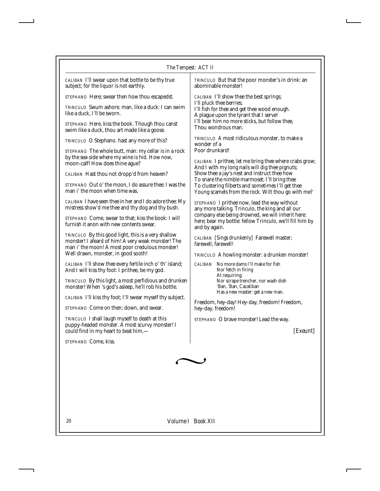| CALIBAN I'll swear upon that bottle to be thy true |  |
|----------------------------------------------------|--|
| subject; for the liquor is not earthly.            |  |

*STEPHANO* Here; swear then how thou escapedst.

*TRINCULO* Swum ashore. man, like a duck: I can swim like a duck, I'll be sworn.

*STEPHANO* Here, kiss the book. Though thou canst swim like a duck, thou art made like a goose.

*TRINCULO* O Stephano. hast any more of this?

*STEPHANO* The whole butt, man: my cellar is in a rock by the sea-side where my wine is hid. How now, moon-calf! How does thine ague?

*CALIBAN* Hast thou not dropp'd from heaven?

*STEPHANO* Out o' the moon, I do assure thee: I was the man i' the moon when time was.

*CALIBAN* I have seen thee in her and I do adore thee: My mistress show'd me thee and thy dog and thy bush.

*STEPHANO* Come, swear to that; kiss the book: I will furnish it anon with new contents swear.

*TRINCULO* By this good light, this is a very shallow monster! I afeard of him! A very weak monster! The man i' the moon! A most poor credulous monster! Well drawn, monster, in good sooth!

*CALIBAN* I'll show thee every fertile inch o' th' island; And I will kiss thy foot: I prithee, be my god.

*TRINCULO* By this light, a most perfidious and drunken monster! When 's god's asleep, he'll rob his bottle.

*CALIBAN* I'll kiss thy foot; I'll swear myself thy subject.

*STEPHANO* Come on then; down, and swear.

*TRINCULO* I shall laugh myself to death at this puppy-headed monster. A most scurvy monster! I could find in my heart to beat him,—

*STEPHANO* Come, kiss.

*TRINCULO* But that the poor monster's in drink: an abominable monster!

*CALIBAN* I'll show thee the best springs; I'll pluck thee berries; I'll fish for thee and get thee wood enough. A plague upon the tyrant that I serve! I'll bear him no more sticks, but follow thee, Thou wondrous man.

*TRINCULO* A most ridiculous monster, to make a wonder of a Poor drunkard!

*CALIBAN* I prithee, let me bring thee where crabs grow; And I with my long nails will dig thee pignuts; Show thee a jay's nest and instruct thee how To snare the nimble marmoset; I'll bring thee To clustering filberts and sometimes I'll get thee Young scamels from the rock. Wilt thou go with me?

*STEPHANO* I prithee now, lead the way without any more talking. Trinculo, the king and all our company else being drowned, we will inherit here: here; bear my bottle: fellow Trinculo, we'll fill him by and by again.

*CALIBAN [Sings drunkenly]* Farewell master; farewell, farewell!

*TRINCULO* A howling monster: a drunken monster!

*CALIBAN* No more dams I'll make for fish Nor fetch in firing At requiring; Nor scrape trencher, nor wash dish 'Ban, 'Ban, Cacaliban Has a new master: get a new man.

Freedom, hey-day! Hey-day, freedom! Freedom, hey-day, freedom!

*STEPHANO* O brave monster! Lead the way.

*[Exeunt]*

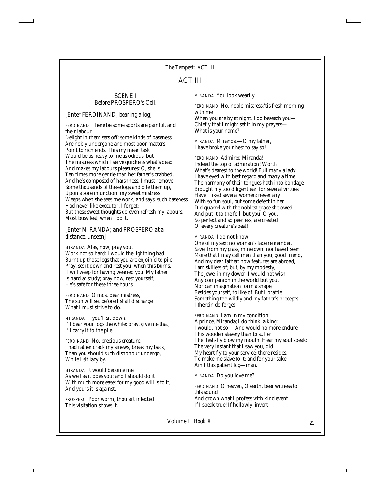# ACT III

#### SCENE I *Before PROSPERO's Cell.*

*[Enter FERDINAND, bearing a log]*

*FERDINAND* There be some sports are painful, and their labour

Delight in them sets off: some kinds of baseness Are nobly undergone and most poor matters Point to rich ends. This my mean task Would be as heavy to me as odious, but The mistress which I serve quickens what's dead And makes my labours pleasures: O, she is Ten times more gentle than her father's crabbed, And he's composed of harshness. I must remove Some thousands of these logs and pile them up, Upon a sore injunction: my sweet mistress Weeps when she sees me work, and says, such baseness Had never like executor. I forget: But these sweet thoughts do even refresh my labours, Most busy lest, when I do it.

#### *[Enter MIRANDA; and PROSPERO at a distance, unseen]*

*MIRANDA* Alas, now, pray you, Work not so hard: I would the lightning had Burnt up those logs that you are enjoin'd to pile! Pray, set it down and rest you: when this burns, 'Twill weep for having wearied you. My father Is hard at study; pray now, rest yourself; He's safe for these three hours.

*FERDINAND* O most dear mistress, The sun will set before I shall discharge What I must strive to do.

*MIRANDA* If you'll sit down, I'll bear your logs the while: pray, give me that; I'll carry it to the pile.

*FERDINAND* No, precious creature; I had rather crack my sinews, break my back, Than you should such dishonour undergo, While I sit lazy by.

*MIRANDA* It would become me As well as it does you: and I should do it With much more ease; for my good will is to it, And yours it is against.

*PROSPERO* Poor worm, thou art infected! This visitation shows it.

*MIRANDA* You look wearily.

*FERDINAND* No, noble mistress;'tis fresh morning with me

When you are by at night. I do beseech you— Chiefly that I might set it in my prayers— What is your name?

*MIRANDA* Miranda.—O my father, I have broke your hest to say so!

*FERDINAND* Admired Miranda! Indeed the top of admiration! Worth What's dearest to the world! Full many a lady I have eyed with best regard and many a time The harmony of their tongues hath into bondage Brought my too diligent ear: for several virtues Have I liked several women; never any With so fun soul, but some defect in her Did quarrel with the noblest grace she owed And put it to the foil: but you, O you, So perfect and so peerless, are created Of every creature's best!

#### *MIRANDA* I do not know

One of my sex; no woman's face remember, Save, from my glass, mine own; nor have I seen More that I may call men than you, good friend, And my dear father: how features are abroad, I am skilless of; but, by my modesty, The jewel in my dower, I would not wish Any companion in the world but you, Nor can imagination form a shape, Besides yourself, to like of. But I prattle Something too wildly and my father's precepts I therein do forget.

*FERDINAND* I am in my condition A prince, Miranda; I do think, a king; I would, not so!—And would no more endure This wooden slavery than to suffer The flesh-fly blow my mouth. Hear my soul speak: The very instant that I saw you, did My heart fly to your service; there resides, To make me slave to it; and for your sake Am I this patient log—man.

*MIRANDA* Do you love me?

*FERDINAND* O heaven, O earth, bear witness to this sound And crown what I profess with kind event If I speak true! If hollowly, invert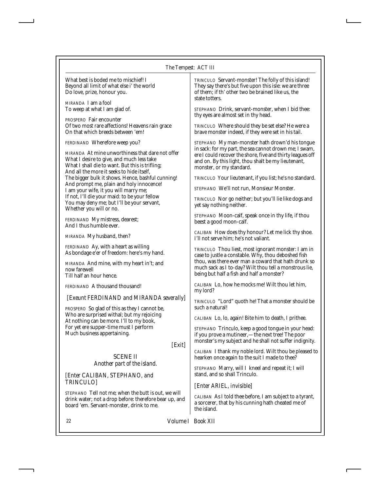#### *The Tempest: ACT III*

| What best is boded me to mischief! I       |
|--------------------------------------------|
| Beyond all limit of what else i' the world |
| Do love, prize, honour you.                |

*MIRANDA* I am a fool To weep at what I am glad of.

*PROSPERO* Fair encounter Of two most rare affections! Heavens rain grace On that which breeds between 'em!

*FERDINAND* Wherefore weep you?

*MIRANDA* At mine unworthiness that dare not offer What I desire to give, and much less take What I shall die to want. But this is trifling; And all the more it seeks to hide itself, The bigger bulk it shows. Hence, bashful cunning! And prompt me, plain and holy innocence! I am your wife, it you will marry me; If not, I'll die your maid: to be your fellow You may deny me; but I'll be your servant, Whether you will or no.

*FERDINAND* My mistress, dearest; And I thus humble ever.

*MIRANDA* My husband, then?

*FERDINAND* Ay, with a heart as willing As bondage e'er of freedom: here's my hand.

*MIRANDA* And mine, with my heart in't; and now farewell Till half an hour hence.

*FERDINAND* A thousand thousand!

#### *[Exeunt FERDINAND and MIRANDA severally]*

*PROSPERO* So glad of this as they I cannot be, Who are surprised withal; but my rejoicing At nothing can be more. I'll to my book, For yet ere supper-time must I perform Much business appertaining.

#### *[Exit]*

SCENE II *Another part of the island.*

*[Enter CALIBAN, STEPHANO, and TRINCULO]*

*STEPHANO* Tell not me; when the butt is out, we will drink water; not a drop before: therefore bear up, and board 'em. Servant-monster, drink to me.

*TRINCULO* Servant-monster! The folly of this island! They say there's but five upon this isle: we are three of them; if th' other two be brained like us, the state totters.

*STEPHANO* Drink, servant-monster, when I bid thee: thy eyes are almost set in thy head.

*TRINCULO* Where should they be set else? He were a brave monster indeed, if they were set in his tail.

*STEPHANO* My man-monster hath drown'd his tongue in sack: for my part, the sea cannot drown me; I swam, ere I could recover the shore, five and thirty leagues off and on. By this light, thou shalt be my lieutenant, monster, or my standard.

*TRINCULO* Your lieutenant, if you list; he's no standard.

*STEPHANO* We'll not run, Monsieur Monster.

*TRINCULO* Nor go neither; but you'll lie like dogs and yet say nothing neither.

*STEPHANO* Moon-calf, speak once in thy life, if thou beest a good moon-calf.

*CALIBAN* How does thy honour? Let me lick thy shoe. I'll not serve him; he's not valiant.

*TRINCULO* Thou liest, most ignorant monster: I am in case to justle a constable. Why, thou deboshed fish thou, was there ever man a coward that hath drunk so much sack as I to-day? Wilt thou tell a monstrous lie, being but half a fish and half a monster?

*CALIBAN* Lo, how he mocks me! Wilt thou let him, my lord?

*TRINCULO* "Lord" quoth he! That a monster should be such a natural!

*CALIBAN* Lo, lo, again! Bite him to death, I prithee.

*STEPHANO* Trinculo, keep a good tongue in your head: if you prove a mutineer,—the next tree! The poor monster's my subject and he shall not suffer indignity.

*CALIBAN* I thank my noble lord. Wilt thou be pleased to hearken once again to the suit I made to thee?

*STEPHANO* Marry, will I kneel and repeat it; I will stand, and so shall Trinculo.

#### *[Enter ARIEL, invisible]*

*CALIBAN* As I told thee before, I am subject to a tyrant, a sorcerer, that by his cunning hath cheated me of the island.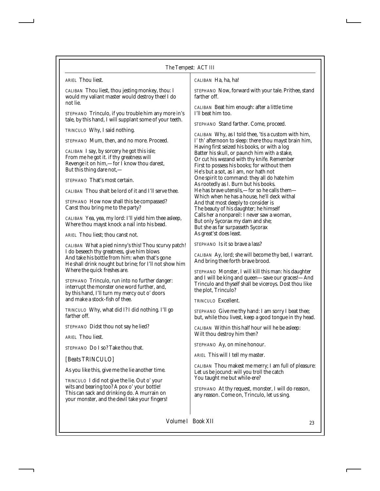I

| <i>ARIEL</i> Thou liest.                                                                                                                                                                                       | CALIBAN Ha, ha, ha!                                                                                                                                                                                                                  |
|----------------------------------------------------------------------------------------------------------------------------------------------------------------------------------------------------------------|--------------------------------------------------------------------------------------------------------------------------------------------------------------------------------------------------------------------------------------|
| CALIBAN Thou liest, thou jesting monkey, thou: I<br>would my valiant master would destroy thee! I do<br>not lie.                                                                                               | STEPHANO Now, forward with your tale. Prithee, stand<br>farther off.                                                                                                                                                                 |
| STEPHANO Trinculo, if you trouble him any more in's<br>tale, by this hand, I will supplant some of your teeth.                                                                                                 | CALIBAN Beat him enough: after a little time<br>I'll beat him too.                                                                                                                                                                   |
| TRINCULO Why, I said nothing.                                                                                                                                                                                  | STEPHANO Stand farther. Come, proceed.                                                                                                                                                                                               |
| STEPHANO Mum, then, and no more. Proceed.                                                                                                                                                                      | <i>CALIBAN</i> Why, as I told thee, 'tis a custom with him,<br>I' th' afternoon to sleep: there thou mayst brain him,                                                                                                                |
| CALIBAN I say, by sorcery he got this isle;<br>From me he got it. if thy greatness will<br>Revenge it on him,-for I know thou darest,<br>But this thing dare not,-                                             | Having first seized his books, or with a log<br>Batter his skull, or paunch him with a stake,<br>Or cut his wezand with thy knife. Remember<br>First to possess his books; for without them<br>He's but a sot, as I am, nor hath not |
| STEPHANO That's most certain.                                                                                                                                                                                  | One spirit to command: they all do hate him                                                                                                                                                                                          |
| CALIBAN Thou shalt be lord of it and I'll serve thee.                                                                                                                                                          | As rootedly as I. Burn but his books.<br>He has brave utensils,—for so he calls them—                                                                                                                                                |
| STEPHANO How now shall this be compassed?<br>Canst thou bring me to the party?                                                                                                                                 | Which when he has a house, he'll deck withal<br>And that most deeply to consider is<br>The beauty of his daughter; he himself                                                                                                        |
| <i>CALIBAN</i> Yea, yea, my lord: I'll yield him thee asleep,<br>Where thou mayst knock a nail into his bead.                                                                                                  | Calls her a nonpareil: I never saw a woman,<br>But only Sycorax my dam and she;<br>But she as far surpasseth Sycorax                                                                                                                 |
| ARIEL Thou liest: thou canst not.                                                                                                                                                                              | As great'st does least.                                                                                                                                                                                                              |
| CALIBAN What a pied ninny's this! Thou scurvy patch!<br>I do beseech thy greatness, give him blows<br>And take his bottle from him: when that's gone<br>He shall drink nought but brine; for I'll not show him | STEPHANO Is it so brave a lass?<br>CALIBAN Ay, lord; she will become thy bed, I warrant.<br>And bring thee forth brave brood.                                                                                                        |
| Where the quick freshes are.<br>STEPHANO Trinculo, run into no further danger:<br>interrupt the monster one word further, and,<br>by this hand, I'll turn my mercy out o' doors                                | STEPHANO Monster, I will kill this man: his daughter<br>and I will be king and queen-save our graces!-And<br>Trinculo and thyself shall be viceroys. Dost thou like<br>the plot, Trinculo?                                           |
| and make a stock-fish of thee.                                                                                                                                                                                 | TRINCULO Excellent.                                                                                                                                                                                                                  |
| TRINCULO Why, what did I? I did nothing. I'll go<br>farther off.                                                                                                                                               | STEPHANO Give me thy hand: I am sorry I beat thee;<br>but, while thou livest, keep a good tongue in thy head.                                                                                                                        |
| STEPHANO Didst thou not say he lied?                                                                                                                                                                           | CALIBAN Within this half hour will he be asleep:                                                                                                                                                                                     |
| ARIEL Thou liest.                                                                                                                                                                                              | Wilt thou destroy him then?                                                                                                                                                                                                          |
| STEPHANO Do I so? Take thou that.                                                                                                                                                                              | STEPHANO Ay, on mine honour.                                                                                                                                                                                                         |
| [Beats TRINCULO]                                                                                                                                                                                               | ARIEL This will I tell my master.                                                                                                                                                                                                    |
| As you like this, give me the lie another time.                                                                                                                                                                | CALIBAN Thou makest me merry; I am full of pleasure:<br>Let us be jocund: will you troll the catch                                                                                                                                   |
| TRINCULO I did not give the lie. Out o' your<br>wits and bearing too? A pox o' your bottle!<br>This can sack and drinking do. A murrain on<br>your monster, and the devil take your fingers!                   | You taught me but while-ere?<br>STEPHANO At thy request, monster, I will do reason,<br>any reason. Come on, Trinculo, let us sing.                                                                                                   |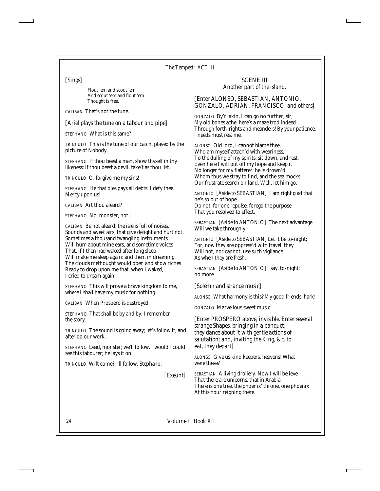*[Sings]*

Flout 'em and scout 'em And scout 'em and flout 'em Thought is free.

*CALIBAN* That's not the tune.

*[Ariel plays the tune on a tabour and pipe]*

*STEPHANO* What is this same?

*TRINCULO* This is the tune of our catch, played by the picture of Nobody.

*STEPHANO* If thou beest a man, show thyself in thy likeness: if thou beest a devil, take't as thou list.

*TRINCULO* O, forgive me my sins!

*STEPHANO* He that dies pays all debts: I defy thee. Mercy upon us!

*CALIBAN* Art thou afeard?

*STEPHANO* No, monster, not I.

*CALIBAN* Be not afeard; the isle is full of noises, Sounds and sweet airs, that give delight and hurt not. Sometimes a thousand twangling instruments Will hum about mine ears, and sometime voices That, if I then had waked after long sleep, Will make me sleep again: and then, in dreaming, The clouds methought would open and show riches Ready to drop upon me that, when I waked, I cried to dream again.

*STEPHANO* This will prove a brave kingdom to me, where I shall have my music for nothing.

*CALIBAN* When Prospero is destroyed.

*STEPHANO* That shall be by and by: I remember the story.

*TRINCULO* The sound is going away; let's follow it, and after do our work.

*STEPHANO* Lead, monster; we'll follow. I would I could see this tabourer; he lays it on.

*TRINCULO* Wilt come? I'll follow, Stephano.

*[Exeunt]*

#### SCENE III *Another part of the island.*

*[Enter ALONSO, SEBASTIAN, ANTONIO, GONZALO, ADRIAN, FRANCISCO, and others]*

*GONZALO* By'r lakin, I can go no further, sir; My old bones ache: here's a maze trod indeed Through forth-rights and meanders! By your patience, I needs must rest me.

*ALONSO* Old lord, I cannot blame thee, Who am myself attach'd with weariness, To the dulling of my spirits: sit down, and rest. Even here I will put off my hope and keep it No longer for my flatterer: he is drown'd Whom thus we stray to find, and the sea mocks Our frustrate search on land. Well, let him go.

*ANTONIO [Aside to SEBASTIAN]* I am right glad that he's so out of hope. Do not, for one repulse, forego the purpose That you resolved to effect.

*SEBASTIAN [Aside to ANTONIO]* The next advantage Will we take throughly.

*ANTONIO [Aside to SEBASTIAN]* Let it be to-night; For, now they are oppress'd with travel, they Will not, nor cannot, use such vigilance As when they are fresh.

*SEBASTIAN [Aside to ANTONIO]* I say, to-night: no more.

*[Solemn and strange music]*

*ALONSO* What harmony is this? My good friends, hark!

*GONZALO* Marvellous sweet music!

*[Enter PROSPERO above, invisible. Enter several strange Shapes, bringing in a banquet; they dance about it with gentle actions of salutation; and, inviting the King, &c. to eat, they depart]*

*ALONSO* Give us kind keepers, heavens! What were these?

*SEBASTIAN* A living drollery. Now I will believe That there are unicorns, that in Arabia There is one tree, the phoenix' throne, one phoenix At this hour reigning there.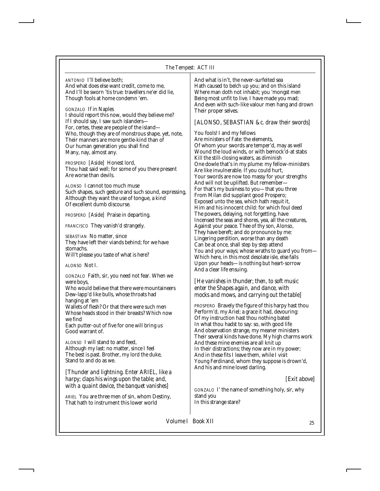*ANTONIO* I'll believe both; And what does else want credit, come to me, And I'll be sworn 'tis true: travellers ne'er did lie, Though fools at home condemn 'em.

*GONZALO* If in Naples I should report this now, would they believe me? If I should say, I saw such islanders-For, certes, these are people of the island— Who, though they are of monstrous shape, yet, note, Their manners are more gentle-kind than of Our human generation you shall find Many, nay, almost any.

*PROSPERO [Aside]* Honest lord, Thou hast said well; for some of you there present Are worse than devils.

*ALONSO* I cannot too much muse Such shapes, such gesture and such sound, expressing, Although they want the use of tongue, a kind Of excellent dumb discourse.

*PROSPERO [Aside]* Praise in departing.

*FRANCISCO* They vanish'd strangely.

*SEBASTIAN* No matter, since They have left their viands behind; for we have stomachs. Will't please you taste of what is here?

*ALONSO* Not I.

*GONZALO* Faith, sir, you need not fear. When we were boys,

Who would believe that there were mountaineers Dew-lapp'd like bulls, whose throats had hanging at 'em

Wallets of flesh? Or that there were such men Whose heads stood in their breasts? Which now we find

Each putter-out of five for one will bring us Good warrant of.

*ALONSO* I will stand to and feed, Although my last: no matter, since I feel The best is past. Brother, my lord the duke, Stand to and do as we.

*[Thunder and lightning. Enter ARIEL, like a harpy; claps his wings upon the table; and, with a quaint device, the banquet vanishes]*

*ARIEL* You are three men of sin, whom Destiny, That hath to instrument this lower world

And what is in't, the never-surfeited sea Hath caused to belch up you; and on this island Where man doth not inhabit; you 'mongst men Being most unfit to live. I have made you mad; And even with such-like valour men hang and drown Their proper selves.

# *[ALONSO, SEBASTIAN &c. draw their swords]*

You fools! I and my fellows Are ministers of Fate: the elements, Of whom your swords are temper'd, may as well Wound the loud winds, or with bemock'd-at stabs Kill the still-closing waters, as diminish One dowle that's in my plume: my fellow-ministers Are like invulnerable. If you could hurt, Your swords are now too massy for your strengths And will not be uplifted. But remember— For that's my business to you—that you three From Milan did supplant good Prospero; Exposed unto the sea, which hath requit it, Him and his innocent child: for which foul deed The powers, delaying, not forgetting, have Incensed the seas and shores, yea, all the creatures, Against your peace. Thee of thy son, Alonso, They have bereft; and do pronounce by me: Lingering perdition, worse than any death Can be at once, shall step by step attend You and your ways; whose wraths to guard you from— Which here, in this most desolate isle, else falls Upon your heads—is nothing but heart-sorrow And a clear life ensuing.

# *[He vanishes in thunder; then, to soft music enter the Shapes again, and dance, with mocks and mows, and carrying out the table]*

*PROSPERO* Bravely the figure of this harpy hast thou Perform'd, my Ariel; a grace it had, devouring: Of my instruction hast thou nothing bated In what thou hadst to say: so, with good life And observation strange, my meaner ministers Their several kinds have done. My high charms work And these mine enemies are all knit up In their distractions; they now are in my power; And in these fits I leave them, while I visit Young Ferdinand, whom they suppose is drown'd, And his and mine loved darling.

*[Exit above]*

*GONZALO* I' the name of something holy, sir, why stand you In this strange stare?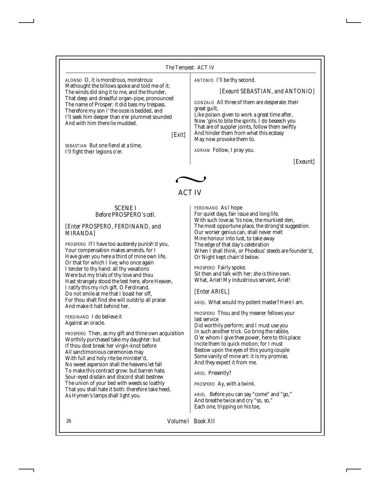ALONSO O, it is monstrous, monstrous: Methought the billows spoke and told me of it; The winds did sing it to me, and the thunder, That deep and dreadful organ-pipe, pronounced The name of Prosper: it did bass my trespass. Therefore my son i' the ooze is bedded, and I'll seek him deeper than e'er plummet sounded And with him there lie mudded.

*[Exit]*

*SEBASTIAN* But one fiend at a time, I'll fight their legions o'er.

#### *ANTONIO* I'll be thy second.

*[Exeunt SEBASTIAN, and ANTONIO]*

*GONZALO* All three of them are desperate: their great guilt,

Like poison given to work a great time after, Now 'gins to bite the spirits. I do beseech you That are of suppler joints, follow them swiftly And hinder them from what this ecstasy May now provoke them to.

*ADRIAN* Follow, I pray you.

*[Exeunt]*



# ACT IV

#### SCENE I *Before PROSPERO's cell.*

#### *[Enter PROSPERO, FERDINAND, and MIRANDA]*

*PROSPERO* If I have too austerely punish'd you, Your compensation makes amends, for I Have given you here a third of mine own life, Or that for which I live; who once again I tender to thy hand: all thy vexations Were but my trials of thy love and thou Hast strangely stood the test here, afore Heaven, I ratify this my rich gift. O Ferdinand, Do not smile at me that I boast her off, For thou shalt find she will outstrip all praise And make it halt behind her.

*FERDINAND* I do believe it Against an oracle.

*PROSPERO* Then, as my gift and thine own acquisition Worthily purchased take my daughter: but If thou dost break her virgin-knot before All sanctimonious ceremonies may With full and holy rite be minister'd, No sweet aspersion shall the heavens let fall To make this contract grow: but barren hate, Sour-eyed disdain and discord shall bestrew The union of your bed with weeds so loathly That you shall hate it both: therefore take heed, As Hymen's lamps shall light you.

*FERDINAND* As I hope For quiet days, fair issue and long life, With such love as 'tis now, the murkiest den, The most opportune place, the strong'st suggestion. Our worser genius can, shall never melt Mine honour into lust, to take away The edge of that day's celebration When I shall think, or Phoebus' steeds are founder'd, Or Night kept chain'd below.

*PROSPERO* Fairly spoke. Sit then and talk with her; she is thine own. What, Ariel! My industrious servant, Ariel!

*[Enter ARIEL]*

*ARIEL* What would my potent master? Here I am.

*PROSPERO* Thou and thy meaner fellows your last service

Did worthily perform; and I must use you In such another trick. Go bring the rabble, O'er whom I give thee power, here to this place: Incite them to quick motion; for I must Bestow upon the eyes of this young couple Some vanity of mine art: it is my promise, And they expect it from me.

*ARIEL* Presently?

*PROSPERO* Ay, with a twink.

*ARIEL* Before you can say "come" and "go," And breathe twice and cry "so, so," Each one, tripping on his toe,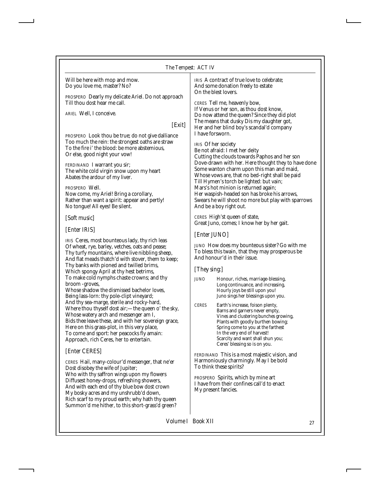Will be here with mop and mow. Do you love me, master? No?

*PROSPERO* Dearly my delicate Ariel. Do not approach Till thou dost hear me call.

*ARIEL* Well, I conceive.

## *[Exit]*

*PROSPERO* Look thou be true; do not give dalliance Too much the rein: the strongest oaths are straw To the fire i' the blood: be more abstemious, Or else, good night your vow!

*FERDINAND* I warrant you sir; The white cold virgin snow upon my heart Abates the ardour of my liver.

#### *PROSPERO* Well.

Now come, my Ariel! Bring a corollary, Rather than want a spirit: appear and pertly! No tongue! All eyes! Be silent.

#### *[Soft music]*

### *[Enter IRIS]*

*IRIS* Ceres, most bounteous lady, thy rich leas Of wheat, rye, barley, vetches, oats and pease; Thy turfy mountains, where live nibbling sheep, And flat meads thatch'd with stover, them to keep; Thy banks with pioned and twilled brims, Which spongy April at thy hest betrims, To make cold nymphs chaste crowns; and thy broom -groves,

Whose shadow the dismissed bachelor loves, Being lass-lorn: thy pole-clipt vineyard; And thy sea-marge, sterile and rocky-hard, Where thou thyself dost air;—the queen o' the sky, Whose watery arch and messenger am I, Bids thee leave these, and with her sovereign grace, Here on this grass-plot, in this very place, To come and sport: her peacocks fly amain: Approach, rich Ceres, her to entertain.

# *[Enter CERES]*

*CERES* Hail, many-colour'd messenger, that ne'er Dost disobey the wife of Jupiter; Who with thy saffron wings upon my flowers Diffusest honey-drops, refreshing showers, And with each end of thy blue bow dost crown My bosky acres and my unshrubb'd down, Rich scarf to my proud earth; why hath thy queen Summon'd me hither, to this short-grass'd green? *IRIS* A contract of true love to celebrate; And some donation freely to estate On the blest lovers.

*CERES* Tell me, heavenly bow,

If Venus or her son, as thou dost know, Do now attend the queen? Since they did plot The means that dusky Dis my daughter got, Her and her blind boy's scandal'd company I have forsworn.

*IRIS* Of her society Be not afraid: I met her deity Cutting the clouds towards Paphos and her son Dove-drawn with her. Here thought they to have done Some wanton charm upon this man and maid, Whose vows are, that no bed-right shall be paid Till Hymen's torch be lighted: but vain; Mars's hot minion is returned again; Her waspish-headed son has broke his arrows, Swears he will shoot no more but play with sparrows And be a boy right out.

*CERES* High'st queen of state, Great Juno, comes; I know her by her gait.

# *[Enter JUNO]*

*JUNO* How does my bounteous sister? Go with me To bless this twain, that they may prosperous be And honour'd in their issue.

#### *[They sing:]*

- *JUNO* Honour, riches, marriage-blessing, Long continuance, and increasing, Hourly joys be still upon you! Juno sings her blessings upon you.
- *CERES* Earth's increase, foison plenty, Barns and garners never empty, Vines and clustering bunches growing, Plants with goodly burthen bowing; Spring come to you at the farthest In the very end of harvest! Scarcity and want shall shun you; Ceres' blessing so is on you.

*FERDINAND* This is a most majestic vision, and Harmoniously charmingly. May I be bold To think these spirits?

*PROSPERO* Spirits, which by mine art I have from their confines call'd to enact My present fancies.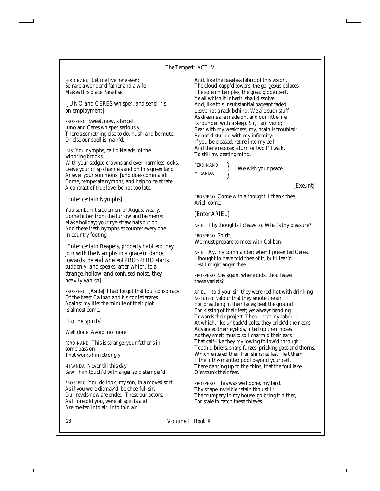*FERDINAND* Let me live here ever; So rare a wonder'd father and a wife Makes this place Paradise.

### *[JUNO and CERES whisper, and send Iris on employment]*

*PROSPERO* Sweet, now, silence! Juno and Ceres whisper seriously; There's something else to do: hush, and be mute, Or else our spell is marr'd.

*IRIS* You nymphs, call'd Naiads, of the windring brooks, With your sedged crowns and ever-harmless looks, Leave your crisp channels and on this green land Answer your summons; Juno does command: Come, temperate nymphs, and help to celebrate A contract of true love; be not too late.

### *[Enter certain Nymphs]*

You sunburnt sicklemen, of August weary, Come hither from the furrow and be merry: Make holiday; your rye-straw hats put on And these fresh nymphs encounter every one In country footing.

*[Enter certain Reapers, properly habited: they join with the Nymphs in a graceful dance; towards the end whereof PROSPERO starts suddenly, and speaks; after which, to a strange, hollow, and confused noise, they heavily vanish]*

*PROSPERO [Aside]* I had forgot that foul conspiracy Of the beast Caliban and his confederates Against my life: the minute of their plot Is almost come.

*[To the Spirits]*

Well done! Avoid; no more!

*FERDINAND* This is strange: your father's in some passion That works him strongly.

*MIRANDA* Never till this day Saw I him touch'd with anger so distemper'd.

*PROSPERO* You do look, my son, in a moved sort, As if you were dismay'd: be cheerful, sir. Our revels now are ended. These our actors, As I foretold you, were all spirits and Are melted into air, into thin air:

And, like the baseless fabric of this vision, The cloud-capp'd towers, the gorgeous palaces, The solemn temples, the great globe itself, Ye all which it inherit, shall dissolve And, like this insubstantial pageant faded, Leave not a rack behind. We are such stuff As dreams are made on, and our little life Is rounded with a sleep. Sir, I am vex'd; Bear with my weakness; my, brain is troubled: Be not disturb'd with my infirmity: If you be pleased, retire into my cell And there repose: a turn or two I'll walk, To still my beating mind.

*MIRANDA*

*FERDINAND* We wish your peace.

*[Exeunt]*

*PROSPERO* Come with a thought. I thank thee, Ariel: come.

*[Enter ARIEL]*

*ARIEL* Thy thoughts I cleave to. What's thy pleasure?

*PROSPERO* Spirit, We must prepare to meet with Caliban.

*ARIEL* Ay, my commander: when I presented Ceres, I thought to have told thee of it, but I fear'd Lest I might anger thee.

*PROSPERO* Say again, where didst thou leave these varlets?

*ARIEL* I told you, sir, they were red-hot with drinking; So fun of valour that they smote the air For breathing in their faces; beat the ground For kissing of their feet; yet always bending Towards their project. Then I beat my tabour; At which, like unback'd colts, they prick'd their ears, Advanced their eyelids, lifted up their noses As they smelt music: so I charm'd their ears That calf-like they my lowing follow'd through Tooth'd briers, sharp furzes, pricking goss and thorns, Which entered their frail shins: at last I left them I' the filthy-mantled pool beyond your cell, There dancing up to the chins, that the foul lake O'erstunk their feet.

*PROSPERO* This was well done, my bird. Thy shape invisible retain thou still: The trumpery in my house, go bring it hither, For stale to catch these thieves.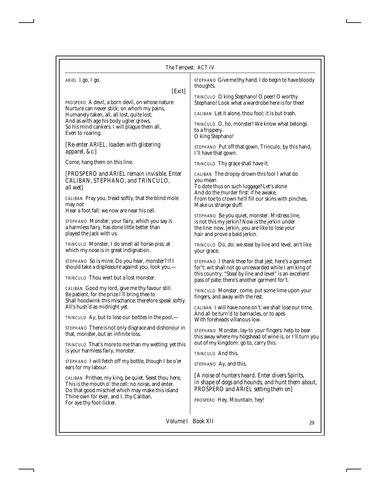|  | The Tempest: ACT IV |  |
|--|---------------------|--|
|--|---------------------|--|

*ARIEL* I go, I go.

#### *[Exit]*

*PROSPERO* A devil, a born devil, on whose nature Nurture can never stick; on whom my pains, Humanely taken, all, all lost, quite lost; And as with age his body uglier grows, So his mind cankers. I will plague them all, Even to roaring.

*[Re-enter ARIEL, loaden with glistering apparel, &c.]*

Come, hang them on this line.

*[PROSPERO and ARIEL remain invisible. Enter CALIBAN, STEPHANO, and TRINCULO, all wet]*

*CALIBAN* Pray you, tread softly, that the blind mole may not Hear a foot fall: we now are near his cell.

*STEPHANO* Monster, your fairy, which you say is a harmless fairy, has done little better than played the Jack with us.

*TRINCULO* Monster, I do smell all horse-piss; at which my nose is in great indignation.

*STEPHANO* So is mine. Do you hear, monster? If I should take a displeasure against you, look you,—

*TRINCULO* Thou wert but a lost monster.

*CALIBAN* Good my lord, give me thy favour still. Be patient, for the prize I'll bring thee to Shall hoodwink this mischance: therefore speak softly. All's hush'd as midnight yet.

*TRINCULO* Ay, but to lose our bottles in the pool,—

*STEPHANO* There is not only disgrace and dishonour in that, monster, but an infinite loss.

*TRINCULO* That's more to me than my wetting: yet this is your harmless fairy, monster.

*STEPHANO* I will fetch off my bottle, though I be o'er ears for my labour.

*CALIBAN* Prithee, my king, be quiet. Seest thou here, This is the mouth o' the cell: no noise, and enter. Do that good mischief which may make this island Thine own for ever, and I, thy Caliban, For aye thy foot-licker.

*STEPHANO* Give me thy hand. I do begin to have bloody thoughts.

*TRINCULO* O king Stephano! O peer! O worthy Stephano! Look what a wardrobe here is for thee!

*CALIBAN* Let it alone, thou fool; it is but trash.

*TRINCULO* O, ho, monster! We know what belongs to a frippery. O king Stephano!

*STEPHANO* Put off that gown, Trinculo; by this hand, I'll have that gown.

*TRINCULO* Thy grace shall have it.

*CALIBAN* The dropsy drown this fool I what do you mean

To dote thus on such luggage? Let's alone And do the murder first: if he awake, From toe to crown he'll fill our skins with pinches, Make us strange stuff.

*STEPHANO* Be you quiet, monster. Mistress line, is not this my jerkin? Now is the jerkin under the line: now, jerkin, you are like to lose your hair and prove a bald jerkin.

*TRINCULO* Do, do: we steal by line and level, an't like your grace.

*STEPHANO* I thank thee for that jest; here's a garment for't: wit shall not go unrewarded while I am king of this country. "Steal by line and level" is an excellent pass of pate; there's another garment for't.

*TRINCULO* Monster, come, put some lime upon your fingers, and away with the rest.

*CALIBAN* I will have none on't: we shall lose our time, And all be turn'd to barnacles, or to apes With foreheads villanous low.

*STEPHANO* Monster, lay-to your fingers: help to bear this away where my hogshead of wine is, or I'll turn you out of my kingdom: go to, carry this.

*TRINCULO* And this.

*STEPHANO* Ay, and this.

*[A noise of hunters heard. Enter divers Spirits, in shape of dogs and hounds, and hunt them about, PROSPERO and ARIEL setting them on]*

*PROSPERO* Hey, Mountain, hey!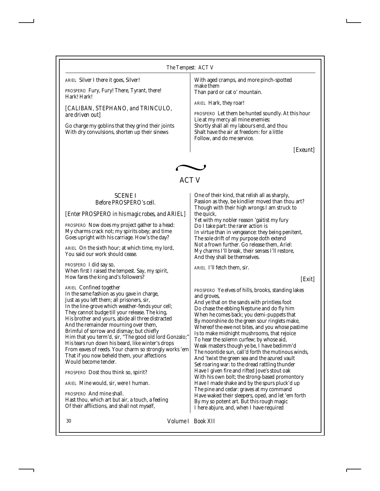*ARIEL* Silver I there it goes, Silver!

*PROSPERO* Fury, Fury! There, Tyrant, there! Hark! Hark!

*[CALIBAN, STEPHANO, and TRINCULO, are driven out]*

Go charge my goblins that they grind their joints With dry convulsions, shorten up their sinews

With aged cramps, and more pinch-spotted make them Than pard or cat o' mountain.

*ARIEL* Hark, they roar!

*PROSPERO* Let them be hunted soundly. At this hour Lie at my mercy all mine enemies: Shortly shall all my labours end, and thou Shalt have the air at freedom: for a little Follow, and do me service.

*[Exeunt]*



# ACT V

#### SCENE I *Before PROSPERO's cell.*

*[Enter PROSPERO in his magic robes, and ARIEL]*

*PROSPERO* Now does my project gather to a head: My charms crack not; my spirits obey; and time Goes upright with his carriage. How's the day?

*ARIEL* On the sixth hour; at which time, my lord, You said our work should cease.

*PROSPERO* I did say so, When first I raised the tempest. Say, my spirit, How fares the king and's followers?

*ARIEL* Confined together In the same fashion as you gave in charge, Just as you left them; all prisoners, sir, In the line-grove which weather-fends your cell; They cannot budge till your release. The king, His brother and yours, abide all three distracted And the remainder mourning over them, Brimful of sorrow and dismay; but chiefly Him that you term'd, sir, "The good old lord Gonzalo;" His tears run down his beard, like winter's drops From eaves of reeds. Your charm so strongly works 'em That if you now beheld them, your affections Would become tender.

*PROSPERO* Dost thou think so, spirit?

*ARIEL* Mine would, sir, were I human.

*PROSPERO* And mine shall. Hast thou, which art but air, a touch, a feeling Of their afflictions, and shall not myself,

One of their kind, that relish all as sharply, Passion as they, be kindlier moved than thou art? Though with their high wrongs I am struck to the quick,

Yet with my nobler reason 'gaitist my fury Do I take part: the rarer action is In virtue than in vengeance: they being penitent, The sole drift of my purpose doth extend Not a frown further. Go release them, Ariel: My charms I'll break, their senses I'll restore, And they shall be themselves.

*ARIEL* I'll fetch them, sir.

*[Exit]*

*PROSPERO* Ye elves of hills, brooks, standing lakes and groves,

And ye that on the sands with printless foot Do chase the ebbing Neptune and do fly him When he comes back; you demi-puppets that By moonshine do the green sour ringlets make, Whereof the ewe not bites, and you whose pastime Is to make midnight mushrooms, that rejoice To hear the solemn curfew; by whose aid, Weak masters though ye be, I have bedimm'd The noontide sun, call'd forth the mutinous winds, And 'twixt the green sea and the azured vault Set roaring war: to the dread rattling thunder Have I given fire and rifted Jove's stout oak With his own bolt; the strong-based promontory Have I made shake and by the spurs pluck'd up The pine and cedar: graves at my command Have waked their sleepers, oped, and let 'em forth By my so potent art. But this rough magic I here abjure, and, when I have required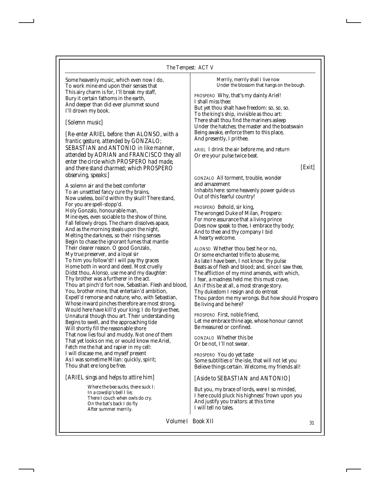Some heavenly music, which even now I do, To work mine end upon their senses that This airy charm is for, I'll break my staff, Bury it certain fathoms in the earth, And deeper than did ever plummet sound I'll drown my book.

### *[Solemn music]*

*[Re-enter ARIEL before: then ALONSO, with a frantic gesture, attended by GONZALO; SEBASTIAN and ANTONIO in like manner, attended by ADRIAN and FRANCISCO they all enter the circle which PROSPERO had made, and there stand charmed; which PROSPERO observing, speaks:]*

A solemn air and the best comforter To an unsettled fancy cure thy brains, Now useless, boil'd within thy skull! There stand, For you are spell-stopp'd. Holy Gonzalo, honourable man, Mine eyes, even sociable to the show of thine, Fall fellowly drops. The charm dissolves apace, And as the morning steals upon the night, Melting the darkness, so their rising senses Begin to chase the ignorant fumes that mantle Their clearer reason. O good Gonzalo, My true preserver, and a loyal sir To him you follow'st! I will pay thy graces Home both in word and deed. Most cruelly Didst thou, Alonso, use me and my daughter: Thy brother was a furtherer in the act. Thou art pinch'd fort now, Sebastian. Flesh and blood, You, brother mine, that entertain'd ambition, Expell'd remorse and nature; who, with Sebastian, Whose inward pinches therefore are most strong, Would here have kill'd your king; I do forgive thee, Unnatural though thou art. Their understanding Begins to swell, and the approaching tide Will shortly fill the reasonable shore That now lies foul and muddy. Not one of them That yet looks on me, or would know me Ariel, Fetch me the hat and rapier in my cell: I will discase me, and myself present As I was sometime Milan: quickly, spirit; Thou shalt ere long be free.

# *[ARIEL sings and helps to attire him]*

Where the bee sucks, there suck I: In a cowslip's bell I lie; There I couch when owls do cry. On the bat's back I do fly After summer merrily.

Merrily, merrily shall I live now Under the blossom that hangs on the bough.

*PROSPERO* Why, that's my dainty Ariel! I shall miss thee: But yet thou shalt have freedom: so, so, so. To the king's ship, invisible as thou art: There shalt thou find the mariners asleep Under the hatches; the master and the boatswain Being awake, enforce them to this place, And presently, I prithee.

*ARIEL* I drink the air before me, and return Or ere your pulse twice beat.

#### *[Exit]*

*GONZALO* All torment, trouble, wonder and amazement Inhabits here: some heavenly power guide us Out of this fearful country!

*PROSPERO* Behold, sir king, The wronged Duke of Milan, Prospero: For more assurance that a living prince Does now speak to thee, I embrace thy body; And to thee and thy company I bid A hearty welcome.

*ALONSO* Whether thou best he or no, Or some enchanted trifle to abuse me, As late I have been, I not know: thy pulse Beats as of flesh and blood; and, since I saw thee, The affliction of my mind amends, with which, I fear, a madness held me: this must crave, An if this be at all, a most strange story. Thy dukedom I resign and do entreat Thou pardon me my wrongs. But how should Prospero Be living and be here?

*PROSPERO* First, noble friend, Let me embrace thine age, whose honour cannot Be measured or confined.

*GONZALO* Whether this be Or be not, I'll not swear.

*PROSPERO* You do yet taste Some subtilties o' the isle, that will not let you Believe things certain. Welcome, my friends all!

# *[Aside to SEBASTIAN and ANTONIO]*

But you, my brace of lords, were I so minded, I here could pluck his highness' frown upon you And justify you traitors: at this time I will tell no tales.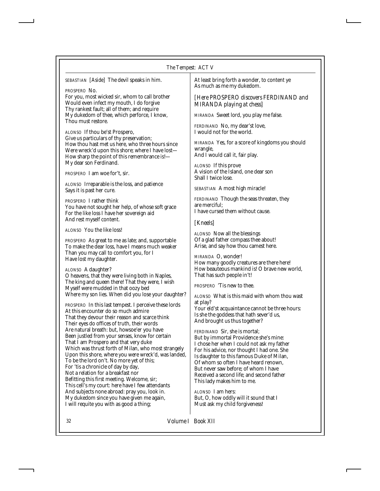*SEBASTIAN [Aside]* The devil speaks in him.

*PROSPERO* No.

For you, most wicked sir, whom to call brother Would even infect my mouth, I do forgive Thy rankest fault; all of them; and require My dukedom of thee, which perforce, I know, Thou must restore.

*ALONSO* If thou be'st Prospero, Give us particulars of thy preservation; How thou hast met us here, who three hours since Were wreck'd upon this shore; where I have lost— How sharp the point of this remembrance is!— My dear son Ferdinand.

*PROSPERO* I am woe for't, sir.

*ALONSO* Irreparable is the loss, and patience Says it is past her cure.

*PROSPERO* I rather think You have not sought her help, of whose soft grace For the like loss I have her sovereign aid And rest myself content.

*ALONSO* You the like loss!

*PROSPERO* As great to me as late; and, supportable To make the dear loss, have I means much weaker Than you may call to comfort you, for I Have lost my daughter.

#### *ALONSO* A daughter?

O heavens, that they were living both in Naples, The king and queen there! That they were, I wish Myself were mudded in that oozy bed Where my son lies. When did you lose your daughter?

*PROSPERO* In this last tempest. I perceive these lords At this encounter do so much admire That they devour their reason and scarce think Their eyes do offices of truth, their words Are natural breath: but, howsoe'er you have Been justled from your senses, know for certain That I am Prospero and that very duke Which was thrust forth of Milan, who most strangely Upon this shore, where you were wreck'd, was landed, To be the lord on't. No more yet of this; For 'tis a chronicle of day by day, Not a relation for a breakfast nor Befitting this first meeting. Welcome, sir; This cell's my court: here have I few attendants And subjects none abroad: pray you, look in. My dukedom since you have given me again, I will requite you with as good a thing;

At least bring forth a wonder, to content ye As much as me my dukedom.

### *[Here PROSPERO discovers FERDINAND and MIRANDA playing at chess]*

*MIRANDA* Sweet lord, you play me false.

*FERDINAND* No, my dear'st love, I would not for the world.

*MIRANDA* Yes, for a score of kingdoms you should wrangle, And I would call it, fair play.

*ALONSO* If this prove A vision of the Island, one dear son Shall I twice lose.

*SEBASTIAN* A most high miracle!

*FERDINAND* Though the seas threaten, they are merciful; I have cursed them without cause.

### *[Kneels]*

*ALONSO* Now all the blessings Of a glad father compass thee about! Arise, and say how thou camest here.

*MIRANDA* O, wonder! How many goodly creatures are there here! How beauteous mankind is! O brave new world, That has such people in't!

*PROSPERO* 'Tis new to thee.

*ALONSO* What is this maid with whom thou wast at play? Your eld'st acquaintance cannot be three hours: Is she the goddess that hath sever'd us, And brought us thus together?

*FERDINAND* Sir, she is mortal; But by immortal Providence she's mine: I chose her when I could not ask my father For his advice, nor thought I had one. She Is daughter to this famous Duke of Milan, Of whom so often I have heard renown, But never saw before; of whom I have Received a second life; and second father This lady makes him to me.

*ALONSO* I am hers: But, O, how oddly will it sound that I Must ask my child forgiveness!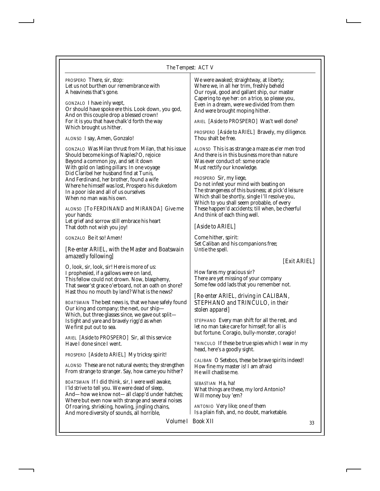#### *The Tempest: ACT V*

| PROSPERO There, sir, stop:<br>Let us not burthen our remembrance with<br>A heaviness that's gone.<br><i>GONZALO</i> I have inly wept,<br>Or should have spoke ere this. Look down, you god,<br>And on this couple drop a blessed crown!<br>For it is you that have chalk'd forth the way<br>Which brought us hither.                                                                                    | We were awaked; straightway, at liberty;<br>Where we, in all her trim, freshly beheld<br>Our royal, good and gallant ship, our master<br>Capering to eye her: on a trice, so please you,<br>Even in a dream, were we divided from them<br>And were brought moping hither.<br>ARIEL [Aside to PROSPERO] Was't well done?<br>PROSPERO [Aside to ARIEL] Bravely, my diligence. |
|---------------------------------------------------------------------------------------------------------------------------------------------------------------------------------------------------------------------------------------------------------------------------------------------------------------------------------------------------------------------------------------------------------|-----------------------------------------------------------------------------------------------------------------------------------------------------------------------------------------------------------------------------------------------------------------------------------------------------------------------------------------------------------------------------|
| ALONSO I say, Amen, Gonzalo!                                                                                                                                                                                                                                                                                                                                                                            | Thou shalt be free.                                                                                                                                                                                                                                                                                                                                                         |
| GONZALO Was Milan thrust from Milan, that his issue<br>Should become kings of Naples? O, rejoice<br>Beyond a common joy, and set it down<br>With gold on lasting pillars: In one voyage<br>Did Claribel her husband find at Tunis,<br>And Ferdinand, her brother, found a wife<br>Where he himself was lost, Prospero his dukedom<br>In a poor isle and all of us ourselves<br>When no man was his own. | <i>ALONSO</i> This is as strange a maze as e'er men trod<br>And there is in this business more than nature<br>Was ever conduct of: some oracle<br>Must rectify our knowledge.<br><i>PROSPERO</i> Sir, my liege,<br>Do not infest your mind with beating on<br>The strangeness of this business; at pick'd leisure<br>Which shall be shortly, single I'll resolve you,       |
| ALONSO [To FERDINAND and MIRANDA] Give me<br>your hands:<br>Let grief and sorrow still embrace his heart<br>That doth not wish you joy!                                                                                                                                                                                                                                                                 | Which to you shall seem probable, of every<br>These happen'd accidents; till when, be cheerful<br>And think of each thing well.<br>[Aside to ARIEL]                                                                                                                                                                                                                         |
| <i>GONZALO</i> Be it so! Amen!<br>[Re-enter ARIEL, with the Master and Boatswain                                                                                                                                                                                                                                                                                                                        | Come hither, spirit:<br>Set Caliban and his companions free;<br>Untie the spell.                                                                                                                                                                                                                                                                                            |
| amazedly following]<br>O, look, sir, look, sir! Here is more of us:                                                                                                                                                                                                                                                                                                                                     | [Exit ARIEL]                                                                                                                                                                                                                                                                                                                                                                |
| I prophesied, if a gallows were on land,<br>This fellow could not drown. Now, blasphemy,<br>That swear'st grace o'erboard, not an oath on shore?<br>Hast thou no mouth by land? What is the news?                                                                                                                                                                                                       | How fares my gracious sir?<br>There are yet missing of your company<br>Some few odd lads that you remember not.                                                                                                                                                                                                                                                             |
| <i>BOATSWAIN</i> The best news is, that we have safely found<br>Our king and company; the next, our ship-<br>Which, but three glasses since, we gave out split-                                                                                                                                                                                                                                         | [Re-enter ARIEL, driving in CALIBAN,<br>STEPHANO and TRINCULO, in their<br>stolen apparel]                                                                                                                                                                                                                                                                                  |
| Is tight and yare and bravely rigg'd as when<br>We first put out to sea.                                                                                                                                                                                                                                                                                                                                | STEPHANO Every man shift for all the rest, and<br>let no man take care for himself; for all is<br>but fortune. Coragio, bully-monster, coragio!                                                                                                                                                                                                                             |
| ARIEL [Aside to PROSPERO] Sir, all this service<br>Have I done since I went.                                                                                                                                                                                                                                                                                                                            | <i>TRINCULO</i> If these be true spies which I wear in my                                                                                                                                                                                                                                                                                                                   |
| PROSPERO [Aside to ARIEL] My tricksy spirit!                                                                                                                                                                                                                                                                                                                                                            | head, here's a goodly sight.                                                                                                                                                                                                                                                                                                                                                |
| ALONSO These are not natural events; they strengthen<br>From strange to stranger. Say, how came you hither?                                                                                                                                                                                                                                                                                             | CALIBAN O Setebos, these be brave spirits indeed!<br>How fine my master is! I am afraid<br>He will chastise me.                                                                                                                                                                                                                                                             |
| BOATSWAIN If I did think, sir, I were well awake,<br>I'ld strive to tell you. We were dead of sleep,<br>And-how we know not-all clapp'd under hatches;<br>Where but even now with strange and several noises                                                                                                                                                                                            | SEBASTIAN Ha, ha!<br>What things are these, my lord Antonio?<br>Will money buy 'em?                                                                                                                                                                                                                                                                                         |

*ANTONIO* Very like; one of them Is a plain fish, and, no doubt, marketable.

*Volume I Book XII* 33

Of roaring, shrieking, howling, jingling chains, And more diversity of sounds, all horrible,